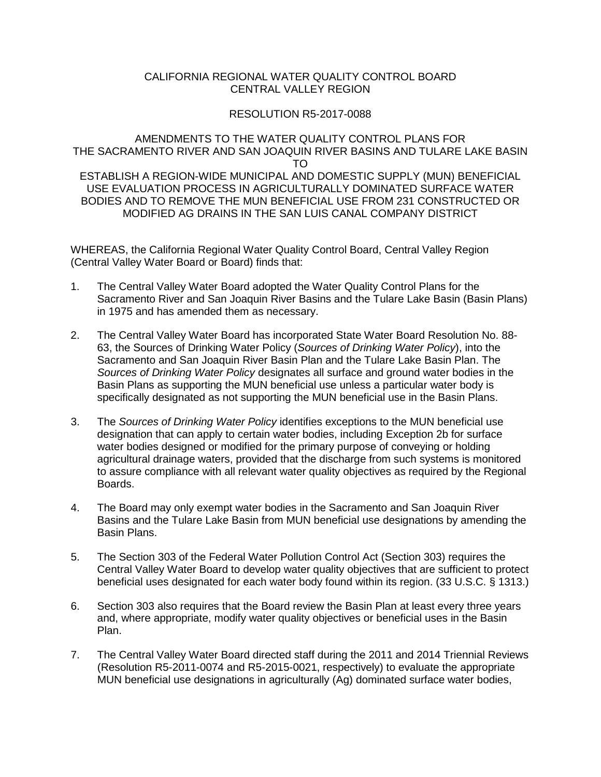#### CALIFORNIA REGIONAL WATER QUALITY CONTROL BOARD CENTRAL VALLEY REGION

#### RESOLUTION R5-2017-0088

#### AMENDMENTS TO THE WATER QUALITY CONTROL PLANS FOR THE SACRAMENTO RIVER AND SAN JOAQUIN RIVER BASINS AND TULARE LAKE BASIN TO ESTABLISH A REGION-WIDE MUNICIPAL AND DOMESTIC SUPPLY (MUN) BENEFICIAL USE EVALUATION PROCESS IN AGRICULTURALLY DOMINATED SURFACE WATER BODIES AND TO REMOVE THE MUN BENEFICIAL USE FROM 231 CONSTRUCTED OR MODIFIED AG DRAINS IN THE SAN LUIS CANAL COMPANY DISTRICT

WHEREAS, the California Regional Water Quality Control Board, Central Valley Region (Central Valley Water Board or Board) finds that:

- 1. The Central Valley Water Board adopted the Water Quality Control Plans for the Sacramento River and San Joaquin River Basins and the Tulare Lake Basin (Basin Plans) in 1975 and has amended them as necessary.
- 2. The Central Valley Water Board has incorporated State Water Board Resolution No. 88- 63, the Sources of Drinking Water Policy (*Sources of Drinking Water Policy*), into the Sacramento and San Joaquin River Basin Plan and the Tulare Lake Basin Plan. The *Sources of Drinking Water Policy* designates all surface and ground water bodies in the Basin Plans as supporting the MUN beneficial use unless a particular water body is specifically designated as not supporting the MUN beneficial use in the Basin Plans.
- 3. The *Sources of Drinking Water Policy* identifies exceptions to the MUN beneficial use designation that can apply to certain water bodies, including Exception 2b for surface water bodies designed or modified for the primary purpose of conveying or holding agricultural drainage waters, provided that the discharge from such systems is monitored to assure compliance with all relevant water quality objectives as required by the Regional Boards.
- 4. The Board may only exempt water bodies in the Sacramento and San Joaquin River Basins and the Tulare Lake Basin from MUN beneficial use designations by amending the Basin Plans.
- 5. The Section 303 of the Federal Water Pollution Control Act (Section 303) requires the Central Valley Water Board to develop water quality objectives that are sufficient to protect beneficial uses designated for each water body found within its region. (33 U.S.C. § 1313.)
- 6. Section 303 also requires that the Board review the Basin Plan at least every three years and, where appropriate, modify water quality objectives or beneficial uses in the Basin Plan.
- 7. The Central Valley Water Board directed staff during the 2011 and 2014 Triennial Reviews (Resolution R5-2011-0074 and R5-2015-0021, respectively) to evaluate the appropriate MUN beneficial use designations in agriculturally (Ag) dominated surface water bodies,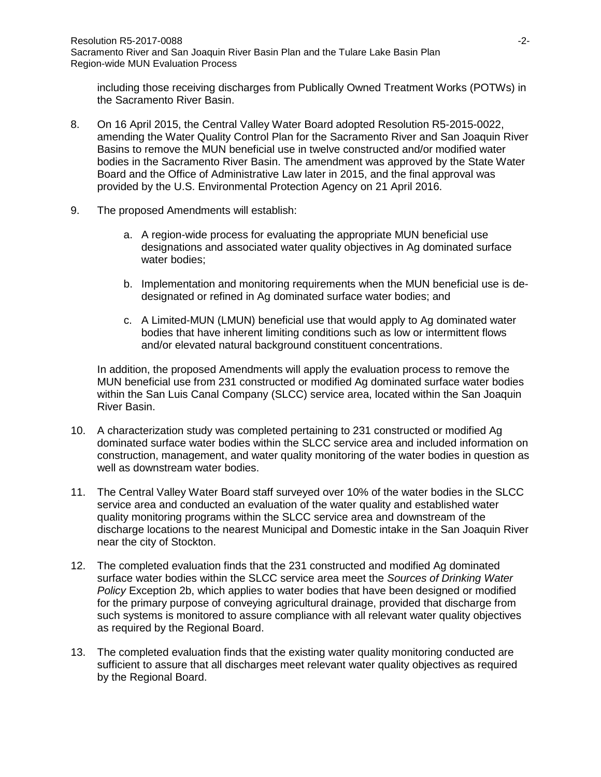including those receiving discharges from Publically Owned Treatment Works (POTWs) in the Sacramento River Basin.

- 8. On 16 April 2015, the Central Valley Water Board adopted Resolution R5-2015-0022, amending the Water Quality Control Plan for the Sacramento River and San Joaquin River Basins to remove the MUN beneficial use in twelve constructed and/or modified water bodies in the Sacramento River Basin. The amendment was approved by the State Water Board and the Office of Administrative Law later in 2015, and the final approval was provided by the U.S. Environmental Protection Agency on 21 April 2016.
- 9. The proposed Amendments will establish:
	- a. A region-wide process for evaluating the appropriate MUN beneficial use designations and associated water quality objectives in Ag dominated surface water bodies;
	- b. Implementation and monitoring requirements when the MUN beneficial use is dedesignated or refined in Ag dominated surface water bodies; and
	- c. A Limited-MUN (LMUN) beneficial use that would apply to Ag dominated water bodies that have inherent limiting conditions such as low or intermittent flows and/or elevated natural background constituent concentrations.

In addition, the proposed Amendments will apply the evaluation process to remove the MUN beneficial use from 231 constructed or modified Ag dominated surface water bodies within the San Luis Canal Company (SLCC) service area, located within the San Joaquin River Basin.

- 10. A characterization study was completed pertaining to 231 constructed or modified Ag dominated surface water bodies within the SLCC service area and included information on construction, management, and water quality monitoring of the water bodies in question as well as downstream water bodies.
- 11. The Central Valley Water Board staff surveyed over 10% of the water bodies in the SLCC service area and conducted an evaluation of the water quality and established water quality monitoring programs within the SLCC service area and downstream of the discharge locations to the nearest Municipal and Domestic intake in the San Joaquin River near the city of Stockton.
- 12. The completed evaluation finds that the 231 constructed and modified Ag dominated surface water bodies within the SLCC service area meet the *Sources of Drinking Water Policy* Exception 2b, which applies to water bodies that have been designed or modified for the primary purpose of conveying agricultural drainage, provided that discharge from such systems is monitored to assure compliance with all relevant water quality objectives as required by the Regional Board.
- 13. The completed evaluation finds that the existing water quality monitoring conducted are sufficient to assure that all discharges meet relevant water quality objectives as required by the Regional Board.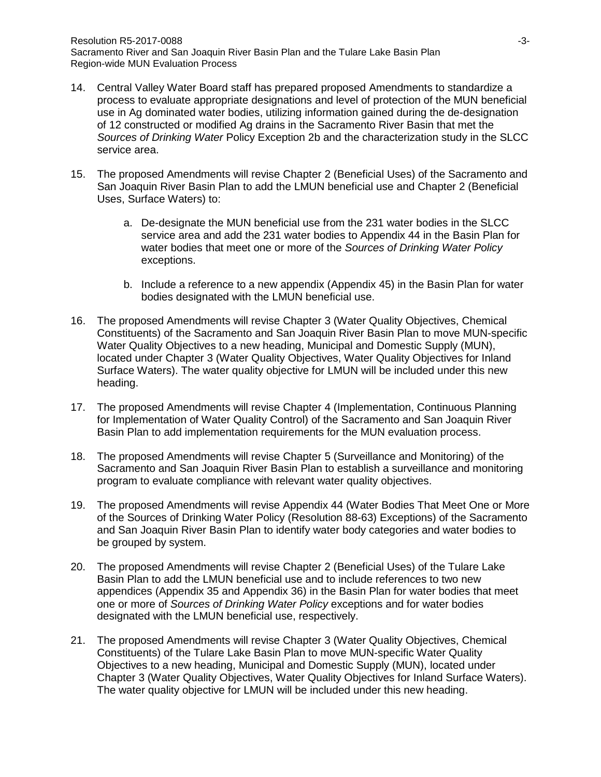- 14. Central Valley Water Board staff has prepared proposed Amendments to standardize a process to evaluate appropriate designations and level of protection of the MUN beneficial use in Ag dominated water bodies, utilizing information gained during the de-designation of 12 constructed or modified Ag drains in the Sacramento River Basin that met the *Sources of Drinking Water* Policy Exception 2b and the characterization study in the SLCC service area.
- 15. The proposed Amendments will revise Chapter 2 (Beneficial Uses) of the Sacramento and San Joaquin River Basin Plan to add the LMUN beneficial use and Chapter 2 (Beneficial Uses, Surface Waters) to:
	- a. De-designate the MUN beneficial use from the 231 water bodies in the SLCC service area and add the 231 water bodies to Appendix 44 in the Basin Plan for water bodies that meet one or more of the *Sources of Drinking Water Policy* exceptions.
	- b. Include a reference to a new appendix (Appendix 45) in the Basin Plan for water bodies designated with the LMUN beneficial use.
- 16. The proposed Amendments will revise Chapter 3 (Water Quality Objectives, Chemical Constituents) of the Sacramento and San Joaquin River Basin Plan to move MUN-specific Water Quality Objectives to a new heading, Municipal and Domestic Supply (MUN), located under Chapter 3 (Water Quality Objectives, Water Quality Objectives for Inland Surface Waters). The water quality objective for LMUN will be included under this new heading.
- 17. The proposed Amendments will revise Chapter 4 (Implementation, Continuous Planning for Implementation of Water Quality Control) of the Sacramento and San Joaquin River Basin Plan to add implementation requirements for the MUN evaluation process.
- 18. The proposed Amendments will revise Chapter 5 (Surveillance and Monitoring) of the Sacramento and San Joaquin River Basin Plan to establish a surveillance and monitoring program to evaluate compliance with relevant water quality objectives.
- 19. The proposed Amendments will revise Appendix 44 (Water Bodies That Meet One or More of the Sources of Drinking Water Policy (Resolution 88-63) Exceptions) of the Sacramento and San Joaquin River Basin Plan to identify water body categories and water bodies to be grouped by system.
- 20. The proposed Amendments will revise Chapter 2 (Beneficial Uses) of the Tulare Lake Basin Plan to add the LMUN beneficial use and to include references to two new appendices (Appendix 35 and Appendix 36) in the Basin Plan for water bodies that meet one or more of *Sources of Drinking Water Policy* exceptions and for water bodies designated with the LMUN beneficial use, respectively.
- 21. The proposed Amendments will revise Chapter 3 (Water Quality Objectives, Chemical Constituents) of the Tulare Lake Basin Plan to move MUN-specific Water Quality Objectives to a new heading, Municipal and Domestic Supply (MUN), located under Chapter 3 (Water Quality Objectives, Water Quality Objectives for Inland Surface Waters). The water quality objective for LMUN will be included under this new heading.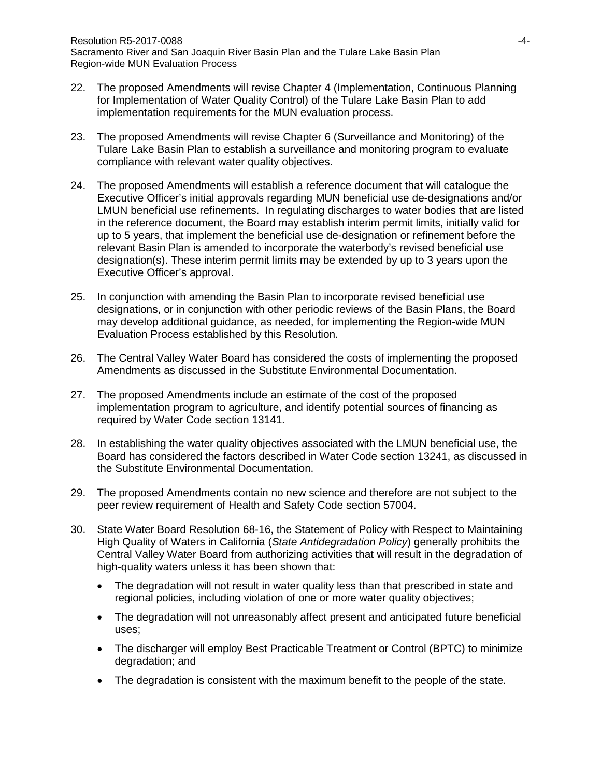- 22. The proposed Amendments will revise Chapter 4 (Implementation, Continuous Planning for Implementation of Water Quality Control) of the Tulare Lake Basin Plan to add implementation requirements for the MUN evaluation process.
- 23. The proposed Amendments will revise Chapter 6 (Surveillance and Monitoring) of the Tulare Lake Basin Plan to establish a surveillance and monitoring program to evaluate compliance with relevant water quality objectives.
- 24. The proposed Amendments will establish a reference document that will catalogue the Executive Officer's initial approvals regarding MUN beneficial use de-designations and/or LMUN beneficial use refinements. In regulating discharges to water bodies that are listed in the reference document, the Board may establish interim permit limits, initially valid for up to 5 years, that implement the beneficial use de-designation or refinement before the relevant Basin Plan is amended to incorporate the waterbody's revised beneficial use designation(s). These interim permit limits may be extended by up to 3 years upon the Executive Officer's approval.
- 25. In conjunction with amending the Basin Plan to incorporate revised beneficial use designations, or in conjunction with other periodic reviews of the Basin Plans, the Board may develop additional guidance, as needed, for implementing the Region-wide MUN Evaluation Process established by this Resolution.
- 26. The Central Valley Water Board has considered the costs of implementing the proposed Amendments as discussed in the Substitute Environmental Documentation.
- 27. The proposed Amendments include an estimate of the cost of the proposed implementation program to agriculture, and identify potential sources of financing as required by Water Code section 13141.
- 28. In establishing the water quality objectives associated with the LMUN beneficial use, the Board has considered the factors described in Water Code section 13241, as discussed in the Substitute Environmental Documentation.
- 29. The proposed Amendments contain no new science and therefore are not subject to the peer review requirement of Health and Safety Code section 57004.
- 30. State Water Board Resolution 68-16, the Statement of Policy with Respect to Maintaining High Quality of Waters in California (*State Antidegradation Policy*) generally prohibits the Central Valley Water Board from authorizing activities that will result in the degradation of high-quality waters unless it has been shown that:
	- The degradation will not result in water quality less than that prescribed in state and regional policies, including violation of one or more water quality objectives;
	- The degradation will not unreasonably affect present and anticipated future beneficial uses;
	- The discharger will employ Best Practicable Treatment or Control (BPTC) to minimize degradation; and
	- The degradation is consistent with the maximum benefit to the people of the state.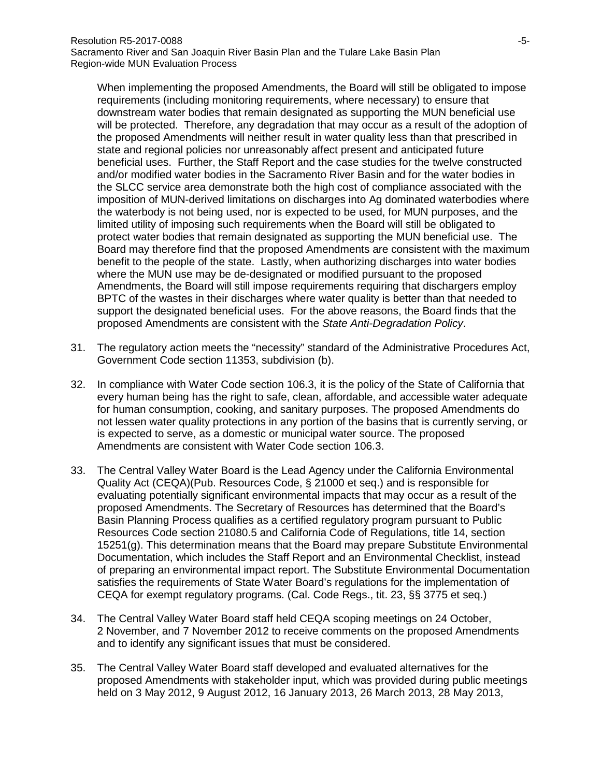When implementing the proposed Amendments, the Board will still be obligated to impose requirements (including monitoring requirements, where necessary) to ensure that downstream water bodies that remain designated as supporting the MUN beneficial use will be protected. Therefore, any degradation that may occur as a result of the adoption of the proposed Amendments will neither result in water quality less than that prescribed in state and regional policies nor unreasonably affect present and anticipated future beneficial uses. Further, the Staff Report and the case studies for the twelve constructed and/or modified water bodies in the Sacramento River Basin and for the water bodies in the SLCC service area demonstrate both the high cost of compliance associated with the imposition of MUN-derived limitations on discharges into Ag dominated waterbodies where the waterbody is not being used, nor is expected to be used, for MUN purposes, and the limited utility of imposing such requirements when the Board will still be obligated to protect water bodies that remain designated as supporting the MUN beneficial use. The Board may therefore find that the proposed Amendments are consistent with the maximum benefit to the people of the state. Lastly, when authorizing discharges into water bodies where the MUN use may be de-designated or modified pursuant to the proposed Amendments, the Board will still impose requirements requiring that dischargers employ BPTC of the wastes in their discharges where water quality is better than that needed to support the designated beneficial uses. For the above reasons, the Board finds that the proposed Amendments are consistent with the *State Anti-Degradation Policy*.

- 31. The regulatory action meets the "necessity" standard of the Administrative Procedures Act, Government Code section 11353, subdivision (b).
- 32. In compliance with Water Code section 106.3, it is the policy of the State of California that every human being has the right to safe, clean, affordable, and accessible water adequate for human consumption, cooking, and sanitary purposes. The proposed Amendments do not lessen water quality protections in any portion of the basins that is currently serving, or is expected to serve, as a domestic or municipal water source. The proposed Amendments are consistent with Water Code section 106.3.
- 33. The Central Valley Water Board is the Lead Agency under the California Environmental Quality Act (CEQA)(Pub. Resources Code, § 21000 et seq.) and is responsible for evaluating potentially significant environmental impacts that may occur as a result of the proposed Amendments. The Secretary of Resources has determined that the Board's Basin Planning Process qualifies as a certified regulatory program pursuant to Public Resources Code section 21080.5 and California Code of Regulations, title 14, section 15251(g). This determination means that the Board may prepare Substitute Environmental Documentation, which includes the Staff Report and an Environmental Checklist, instead of preparing an environmental impact report. The Substitute Environmental Documentation satisfies the requirements of State Water Board's regulations for the implementation of CEQA for exempt regulatory programs. (Cal. Code Regs., tit. 23, §§ 3775 et seq.)
- 34. The Central Valley Water Board staff held CEQA scoping meetings on 24 October, 2 November, and 7 November 2012 to receive comments on the proposed Amendments and to identify any significant issues that must be considered.
- 35. The Central Valley Water Board staff developed and evaluated alternatives for the proposed Amendments with stakeholder input, which was provided during public meetings held on 3 May 2012, 9 August 2012, 16 January 2013, 26 March 2013, 28 May 2013,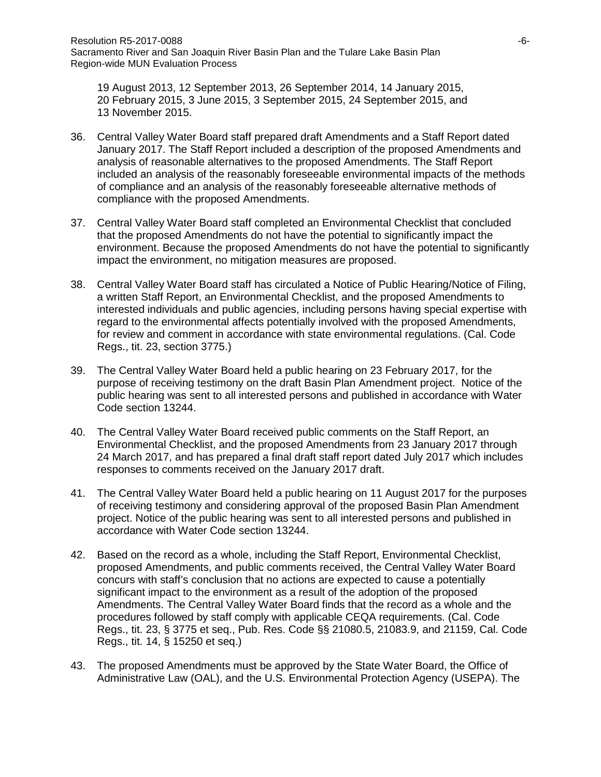19 August 2013, 12 September 2013, 26 September 2014, 14 January 2015, 20 February 2015, 3 June 2015, 3 September 2015, 24 September 2015, and 13 November 2015.

- 36. Central Valley Water Board staff prepared draft Amendments and a Staff Report dated January 2017. The Staff Report included a description of the proposed Amendments and analysis of reasonable alternatives to the proposed Amendments. The Staff Report included an analysis of the reasonably foreseeable environmental impacts of the methods of compliance and an analysis of the reasonably foreseeable alternative methods of compliance with the proposed Amendments.
- 37. Central Valley Water Board staff completed an Environmental Checklist that concluded that the proposed Amendments do not have the potential to significantly impact the environment. Because the proposed Amendments do not have the potential to significantly impact the environment, no mitigation measures are proposed.
- 38. Central Valley Water Board staff has circulated a Notice of Public Hearing/Notice of Filing, a written Staff Report, an Environmental Checklist, and the proposed Amendments to interested individuals and public agencies, including persons having special expertise with regard to the environmental affects potentially involved with the proposed Amendments, for review and comment in accordance with state environmental regulations. (Cal. Code Regs., tit. 23, section 3775.)
- 39. The Central Valley Water Board held a public hearing on 23 February 2017, for the purpose of receiving testimony on the draft Basin Plan Amendment project. Notice of the public hearing was sent to all interested persons and published in accordance with Water Code section 13244.
- 40. The Central Valley Water Board received public comments on the Staff Report, an Environmental Checklist, and the proposed Amendments from 23 January 2017 through 24 March 2017, and has prepared a final draft staff report dated July 2017 which includes responses to comments received on the January 2017 draft.
- 41. The Central Valley Water Board held a public hearing on 11 August 2017 for the purposes of receiving testimony and considering approval of the proposed Basin Plan Amendment project. Notice of the public hearing was sent to all interested persons and published in accordance with Water Code section 13244.
- 42. Based on the record as a whole, including the Staff Report, Environmental Checklist, proposed Amendments, and public comments received, the Central Valley Water Board concurs with staff's conclusion that no actions are expected to cause a potentially significant impact to the environment as a result of the adoption of the proposed Amendments. The Central Valley Water Board finds that the record as a whole and the procedures followed by staff comply with applicable CEQA requirements. (Cal. Code Regs., tit. 23, § 3775 et seq., Pub. Res. Code §§ 21080.5, 21083.9, and 21159, Cal. Code Regs., tit. 14, § 15250 et seq.)
- 43. The proposed Amendments must be approved by the State Water Board, the Office of Administrative Law (OAL), and the U.S. Environmental Protection Agency (USEPA). The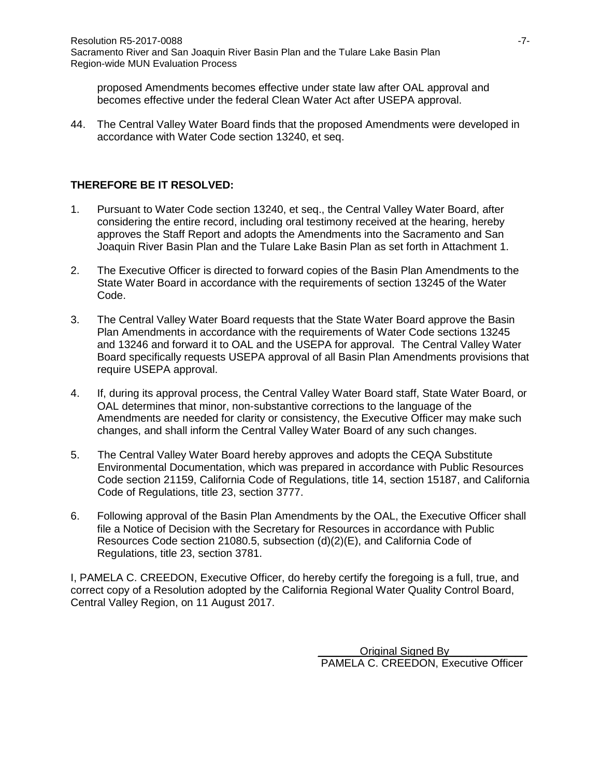proposed Amendments becomes effective under state law after OAL approval and becomes effective under the federal Clean Water Act after USEPA approval.

44. The Central Valley Water Board finds that the proposed Amendments were developed in accordance with Water Code section 13240, et seq.

### **THEREFORE BE IT RESOLVED:**

- 1. Pursuant to Water Code section 13240, et seq., the Central Valley Water Board, after considering the entire record, including oral testimony received at the hearing, hereby approves the Staff Report and adopts the Amendments into the Sacramento and San Joaquin River Basin Plan and the Tulare Lake Basin Plan as set forth in Attachment 1.
- 2. The Executive Officer is directed to forward copies of the Basin Plan Amendments to the State Water Board in accordance with the requirements of section 13245 of the Water Code.
- 3. The Central Valley Water Board requests that the State Water Board approve the Basin Plan Amendments in accordance with the requirements of Water Code sections 13245 and 13246 and forward it to OAL and the USEPA for approval. The Central Valley Water Board specifically requests USEPA approval of all Basin Plan Amendments provisions that require USEPA approval.
- 4. If, during its approval process, the Central Valley Water Board staff, State Water Board, or OAL determines that minor, non-substantive corrections to the language of the Amendments are needed for clarity or consistency, the Executive Officer may make such changes, and shall inform the Central Valley Water Board of any such changes.
- 5. The Central Valley Water Board hereby approves and adopts the CEQA Substitute Environmental Documentation, which was prepared in accordance with Public Resources Code section 21159, California Code of Regulations, title 14, section 15187, and California Code of Regulations, title 23, section 3777.
- 6. Following approval of the Basin Plan Amendments by the OAL, the Executive Officer shall file a Notice of Decision with the Secretary for Resources in accordance with Public Resources Code section 21080.5, subsection (d)(2)(E), and California Code of Regulations, title 23, section 3781.

I, PAMELA C. CREEDON, Executive Officer, do hereby certify the foregoing is a full, true, and correct copy of a Resolution adopted by the California Regional Water Quality Control Board, Central Valley Region, on 11 August 2017.

> Original Signed By PAMELA C. CREEDON, Executive Officer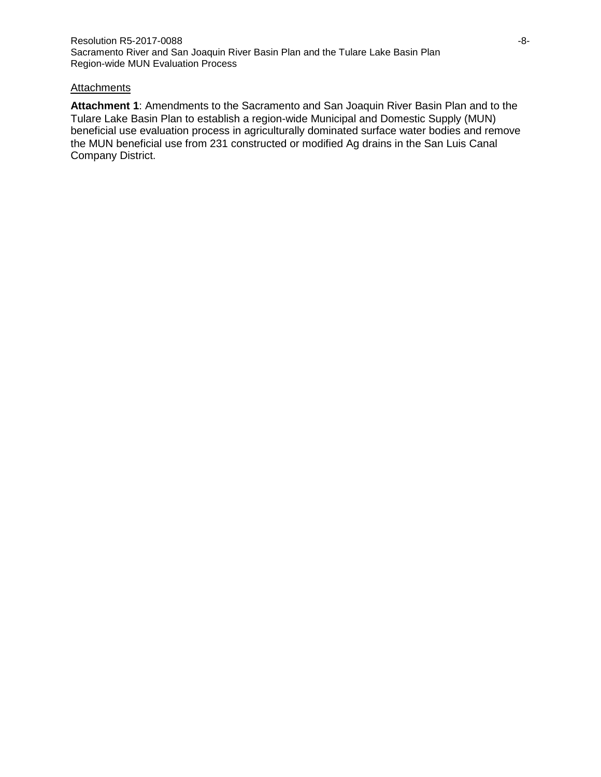#### **Attachments**

**Attachment 1**: Amendments to the Sacramento and San Joaquin River Basin Plan and to the Tulare Lake Basin Plan to establish a region-wide Municipal and Domestic Supply (MUN) beneficial use evaluation process in agriculturally dominated surface water bodies and remove the MUN beneficial use from 231 constructed or modified Ag drains in the San Luis Canal Company District.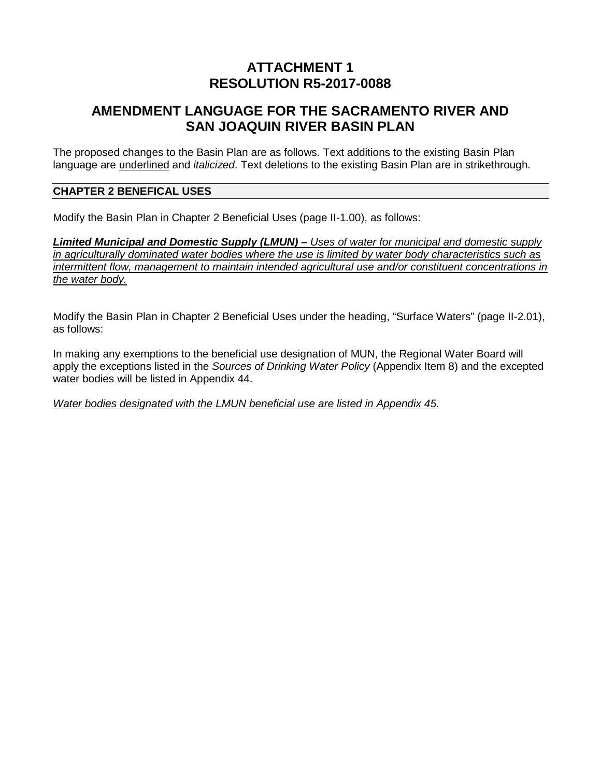# **ATTACHMENT 1 RESOLUTION R5-2017-0088**

# **AMENDMENT LANGUAGE FOR THE SACRAMENTO RIVER AND SAN JOAQUIN RIVER BASIN PLAN**

The proposed changes to the Basin Plan are as follows. Text additions to the existing Basin Plan language are underlined and *italicized*. Text deletions to the existing Basin Plan are in strikethrough.

#### **CHAPTER 2 BENEFICAL USES**

Modify the Basin Plan in Chapter 2 Beneficial Uses (page II-1.00), as follows:

*Limited Municipal and Domestic Supply (LMUN) – Uses of water for municipal and domestic supply in agriculturally dominated water bodies where the use is limited by water body characteristics such as intermittent flow, management to maintain intended agricultural use and/or constituent concentrations in the water body.* 

Modify the Basin Plan in Chapter 2 Beneficial Uses under the heading, "Surface Waters" (page II-2.01), as follows:

In making any exemptions to the beneficial use designation of MUN, the Regional Water Board will apply the exceptions listed in the *Sources of Drinking Water Policy* (Appendix Item 8) and the excepted water bodies will be listed in Appendix 44.

*Water bodies designated with the LMUN beneficial use are listed in Appendix 45.*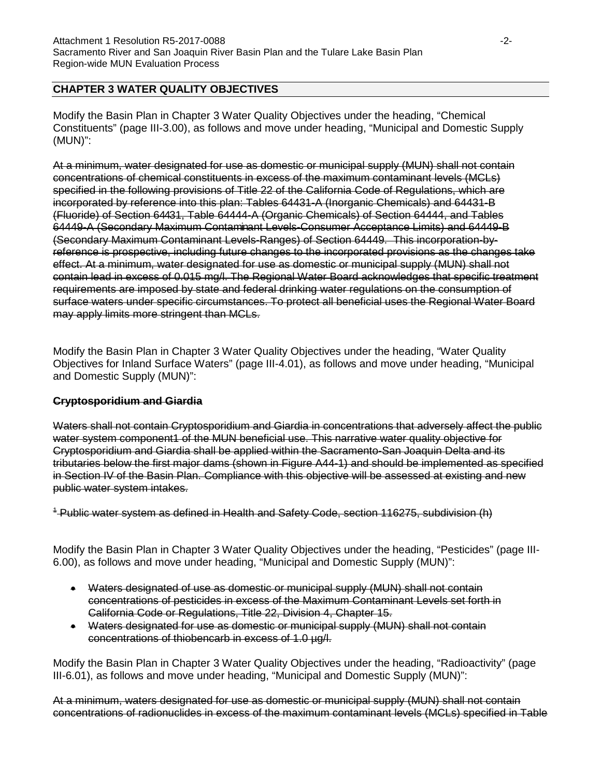### **CHAPTER 3 WATER QUALITY OBJECTIVES**

Modify the Basin Plan in Chapter 3 Water Quality Objectives under the heading, "Chemical Constituents" (page III-3.00), as follows and move under heading, "Municipal and Domestic Supply (MUN)":

At a minimum, water designated for use as domestic or municipal supply (MUN) shall not contain concentrations of chemical constituents in excess of the maximum contaminant levels (MCLs) specified in the following provisions of Title 22 of the California Code of Regulations, which are incorporated by reference into this plan: Tables 64431-A (Inorganic Chemicals) and 64431-B (Fluoride) of Section 64431, Table 64444-A (Organic Chemicals) of Section 64444, and Tables 64449-A (Secondary Maximum Contaminant Levels-Consumer Acceptance Limits) and 64449-B (Secondary Maximum Contaminant Levels-Ranges) of Section 64449. This incorporation-byreference is prospective, including future changes to the incorporated provisions as the changes take effect. At a minimum, water designated for use as domestic or municipal supply (MUN) shall not contain lead in excess of 0.015 mg/l. The Regional Water Board acknowledges that specific treatment requirements are imposed by state and federal drinking water regulations on the consumption of surface waters under specific circumstances. To protect all beneficial uses the Regional Water Board may apply limits more stringent than MCLs.

Modify the Basin Plan in Chapter 3 Water Quality Objectives under the heading, "Water Quality Objectives for Inland Surface Waters" (page III-4.01), as follows and move under heading, "Municipal and Domestic Supply (MUN)":

#### **Cryptosporidium and Giardia**

Waters shall not contain Cryptosporidium and Giardia in concentrations that adversely affect the public water system component1 of the MUN beneficial use. This narrative water quality objective for Cryptosporidium and Giardia shall be applied within the Sacramento-San Joaquin Delta and its tributaries below the first major dams (shown in Figure A44-1) and should be implemented as specified in Section IV of the Basin Plan. Compliance with this objective will be assessed at existing and new public water system intakes.

<sup>4</sup> Public water system as defined in Health and Safety Code, section 116275, subdivision (h)

Modify the Basin Plan in Chapter 3 Water Quality Objectives under the heading, "Pesticides" (page III-6.00), as follows and move under heading, "Municipal and Domestic Supply (MUN)":

- Waters designated of use as domestic or municipal supply (MUN) shall not contain concentrations of pesticides in excess of the Maximum Contaminant Levels set forth in California Code or Regulations, Title 22, Division 4, Chapter 15.
- Waters designated for use as domestic or municipal supply (MUN) shall not contain concentrations of thiobencarb in excess of 1.0 µg/l.

Modify the Basin Plan in Chapter 3 Water Quality Objectives under the heading, "Radioactivity" (page III-6.01), as follows and move under heading, "Municipal and Domestic Supply (MUN)":

At a minimum, waters designated for use as domestic or municipal supply (MUN) shall not contain concentrations of radionuclides in excess of the maximum contaminant levels (MCLs) specified in Table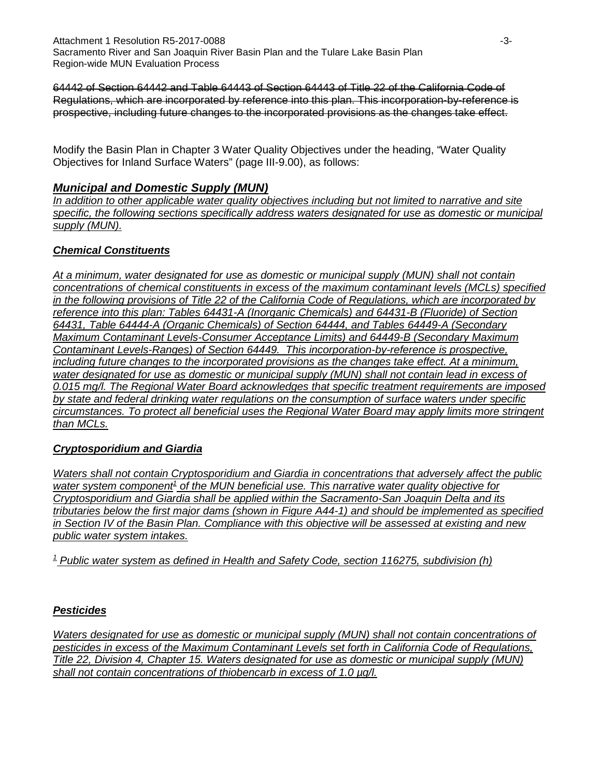64442 of Section 64442 and Table 64443 of Section 64443 of Title 22 of the California Code of Regulations, which are incorporated by reference into this plan. This incorporation-by-reference is prospective, including future changes to the incorporated provisions as the changes take effect.

Modify the Basin Plan in Chapter 3 Water Quality Objectives under the heading, "Water Quality Objectives for Inland Surface Waters" (page III-9.00), as follows:

## *Municipal and Domestic Supply (MUN)*

*In addition to other applicable water quality objectives including but not limited to narrative and site specific, the following sections specifically address waters designated for use as domestic or municipal supply (MUN).*

## *Chemical Constituents*

*At a minimum, water designated for use as domestic or municipal supply (MUN) shall not contain concentrations of chemical constituents in excess of the maximum contaminant levels (MCLs) specified in the following provisions of Title 22 of the California Code of Regulations, which are incorporated by reference into this plan: Tables 64431-A (Inorganic Chemicals) and 64431-B (Fluoride) of Section 64431, Table 64444-A (Organic Chemicals) of Section 64444, and Tables 64449-A (Secondary Maximum Contaminant Levels-Consumer Acceptance Limits) and 64449-B (Secondary Maximum Contaminant Levels-Ranges) of Section 64449. This incorporation-by-reference is prospective, including future changes to the incorporated provisions as the changes take effect. At a minimum, water designated for use as domestic or municipal supply (MUN) shall not contain lead in excess of 0.015 mg/l. The Regional Water Board acknowledges that specific treatment requirements are imposed by state and federal drinking water regulations on the consumption of surface waters under specific circumstances. To protect all beneficial uses the Regional Water Board may apply limits more stringent than MCLs.*

## *Cryptosporidium and Giardia*

*Waters shall not contain Cryptosporidium and Giardia in concentrations that adversely affect the public*  water system component<sup>1</sup> of the MUN beneficial use. This narrative water quality objective for *Cryptosporidium and Giardia shall be applied within the Sacramento-San Joaquin Delta and its tributaries below the first major dams (shown in Figure A44-1) and should be implemented as specified in Section IV of the Basin Plan. Compliance with this objective will be assessed at existing and new public water system intakes.*

*<sup>1</sup> Public water system as defined in Health and Safety Code, section 116275, subdivision (h)*

## *Pesticides*

*Waters designated for use as domestic or municipal supply (MUN) shall not contain concentrations of pesticides in excess of the Maximum Contaminant Levels set forth in California Code of Regulations, Title 22, Division 4, Chapter 15. Waters designated for use as domestic or municipal supply (MUN) shall not contain concentrations of thiobencarb in excess of 1.0 µg/l.*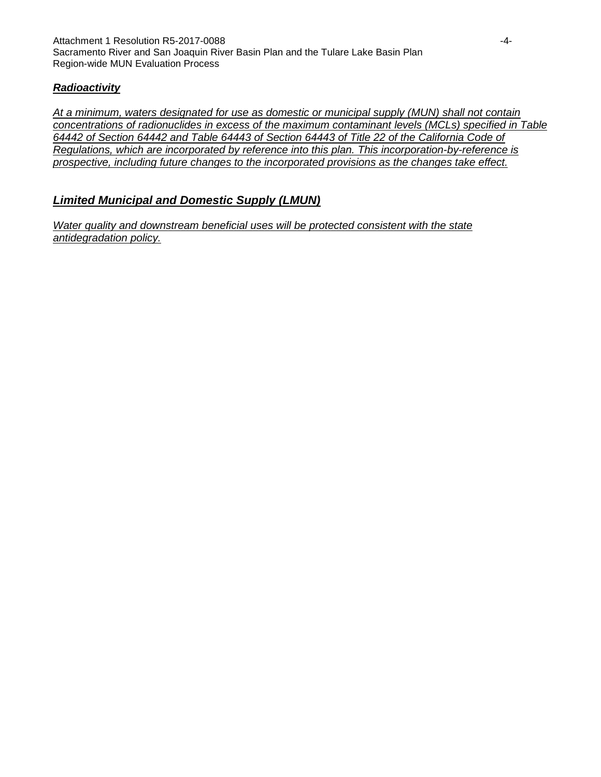### *Radioactivity*

*At a minimum, waters designated for use as domestic or municipal supply (MUN) shall not contain concentrations of radionuclides in excess of the maximum contaminant levels (MCLs) specified in Table 64442 of Section 64442 and Table 64443 of Section 64443 of Title 22 of the California Code of Regulations, which are incorporated by reference into this plan. This incorporation-by-reference is prospective, including future changes to the incorporated provisions as the changes take effect.*

## *Limited Municipal and Domestic Supply (LMUN)*

*Water quality and downstream beneficial uses will be protected consistent with the state antidegradation policy.*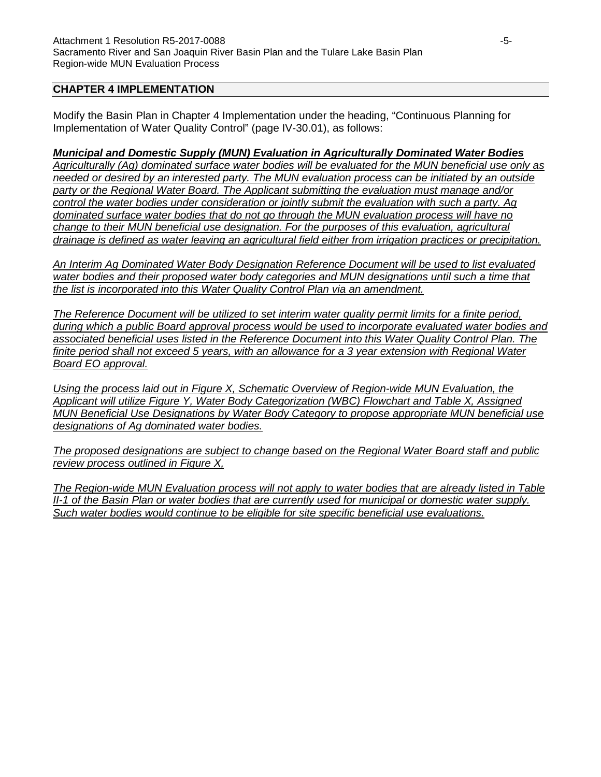### **CHAPTER 4 IMPLEMENTATION**

Modify the Basin Plan in Chapter 4 Implementation under the heading, "Continuous Planning for Implementation of Water Quality Control" (page IV-30.01), as follows:

#### *Municipal and Domestic Supply (MUN) Evaluation in Agriculturally Dominated Water Bodies*

*Agriculturally (Ag) dominated surface water bodies will be evaluated for the MUN beneficial use only as needed or desired by an interested party. The MUN evaluation process can be initiated by an outside party or the Regional Water Board. The Applicant submitting the evaluation must manage and/or control the water bodies under consideration or jointly submit the evaluation with such a party. Ag dominated surface water bodies that do not go through the MUN evaluation process will have no change to their MUN beneficial use designation. For the purposes of this evaluation, agricultural drainage is defined as water leaving an agricultural field either from irrigation practices or precipitation.*

*An Interim Ag Dominated Water Body Designation Reference Document will be used to list evaluated*  water bodies and their proposed water body categories and MUN designations until such a time that *the list is incorporated into this Water Quality Control Plan via an amendment.* 

*The Reference Document will be utilized to set interim water quality permit limits for a finite period, during which a public Board approval process would be used to incorporate evaluated water bodies and associated beneficial uses listed in the Reference Document into this Water Quality Control Plan. The finite period shall not exceed 5 years, with an allowance for a 3 year extension with Regional Water Board EO approval.* 

*Using the process laid out in Figure X, Schematic Overview of Region-wide MUN Evaluation, the Applicant will utilize Figure Y, Water Body Categorization (WBC) Flowchart and Table X, Assigned MUN Beneficial Use Designations by Water Body Category to propose appropriate MUN beneficial use designations of Ag dominated water bodies.* 

*The proposed designations are subject to change based on the Regional Water Board staff and public review process outlined in Figure X,*

*The Region-wide MUN Evaluation process will not apply to water bodies that are already listed in Table II-1 of the Basin Plan or water bodies that are currently used for municipal or domestic water supply. Such water bodies would continue to be eligible for site specific beneficial use evaluations.*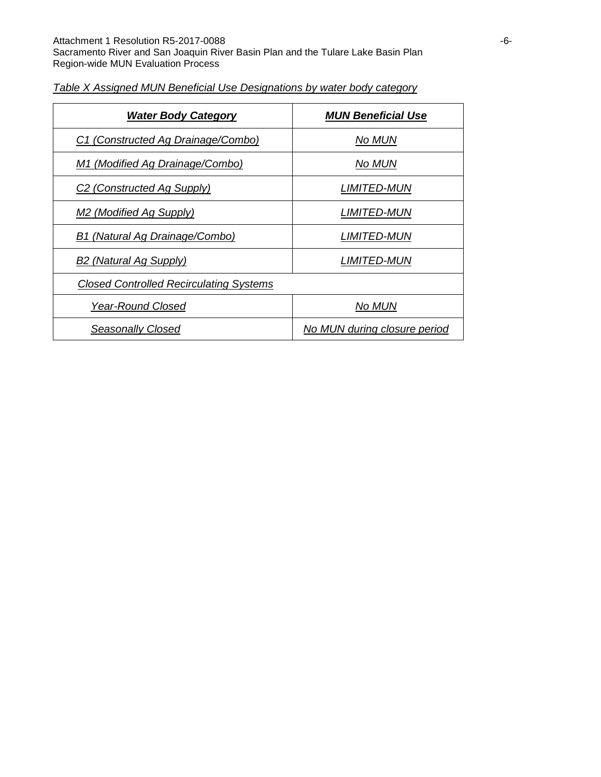| <b>Water Body Category</b>                     | <b>MUN Beneficial Use</b>    |
|------------------------------------------------|------------------------------|
| C1 (Constructed Ag Drainage/Combo)             | No MUN                       |
| M1 (Modified Ag Drainage/Combo)                | No MUN                       |
| C <sub>2</sub> (Constructed Ag Supply)         | <i>LIMITED-MUN</i>           |
| M <sub>2</sub> (Modified Ag Supply)            | <i>LIMITED-MUN</i>           |
| B1 (Natural Ag Drainage/Combo)                 | <i>LIMITED-MUN</i>           |
| B <sub>2</sub> (Natural Ag Supply)             | <i>LIMITED-MUN</i>           |
| <b>Closed Controlled Recirculating Systems</b> |                              |
| <b>Year-Round Closed</b>                       | No MUN                       |
| Seasonally Closed                              | No MUN during closure period |

### *Table X Assigned MUN Beneficial Use Designations by water body category*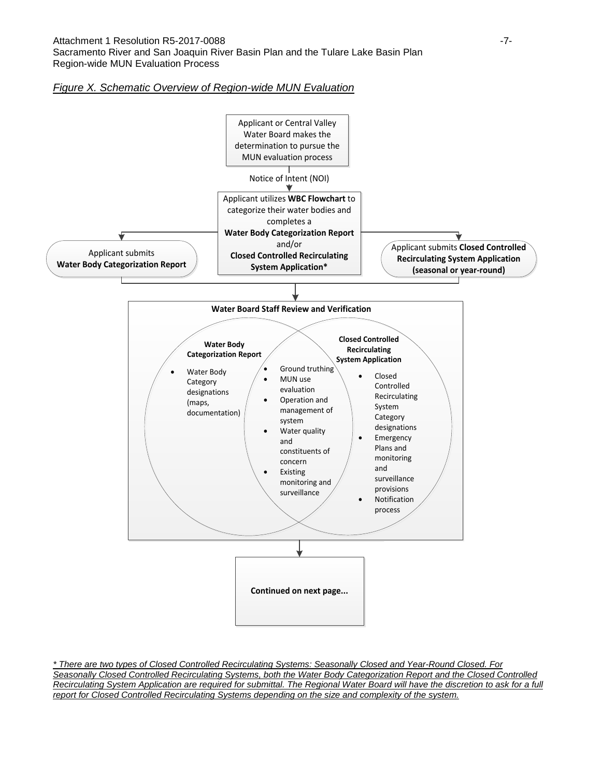#### *Figure X. Schematic Overview of Region-wide MUN Evaluation*



*\* There are two types of Closed Controlled Recirculating Systems: Seasonally Closed and Year-Round Closed. For Seasonally Closed Controlled Recirculating Systems, both the Water Body Categorization Report and the Closed Controlled Recirculating System Application are required for submittal. The Regional Water Board will have the discretion to ask for a full report for Closed Controlled Recirculating Systems depending on the size and complexity of the system.*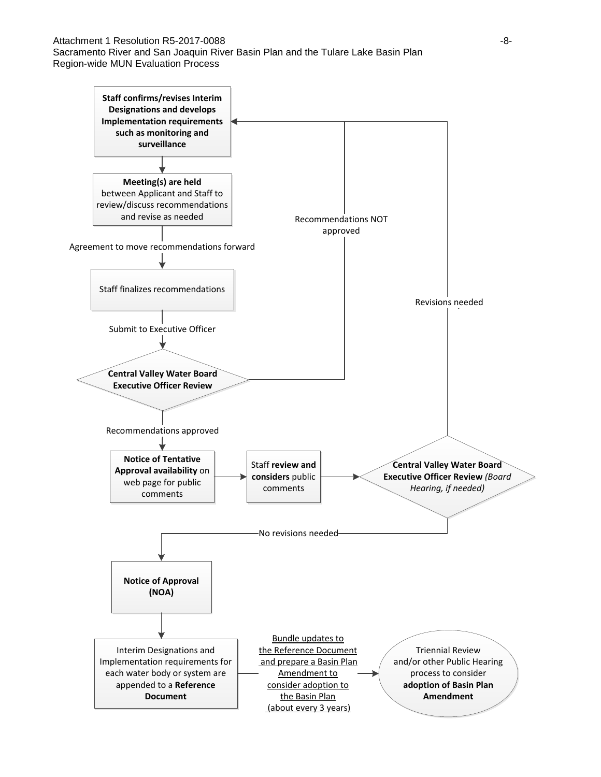#### Attachment 1 Resolution R5-2017-0088 **-8-**

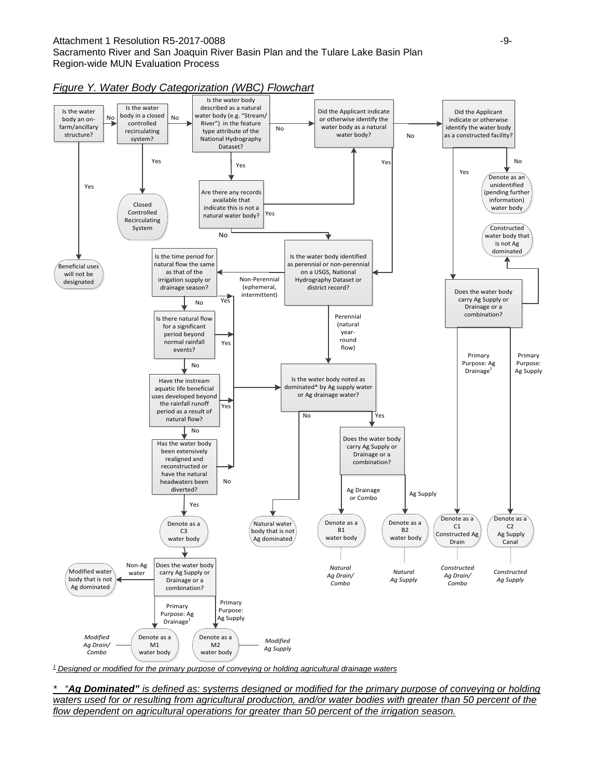#### Attachment 1 Resolution R5-2017-0088 **-9-**Sacramento River and San Joaquin River Basin Plan and the Tulare Lake Basin Plan Region-wide MUN Evaluation Process



#### *Figure Y. Water Body Categorization (WBC) Flowchart*

*<sup>1</sup> Designed or modified for the primary purpose of conveying or holding agricultural drainage waters*

*\* "Ag Dominated" is defined as: systems designed or modified for the primary purpose of conveying or holding waters used for or resulting from agricultural production, and/or water bodies with greater than 50 percent of the flow dependent on agricultural operations for greater than 50 percent of the irrigation season.*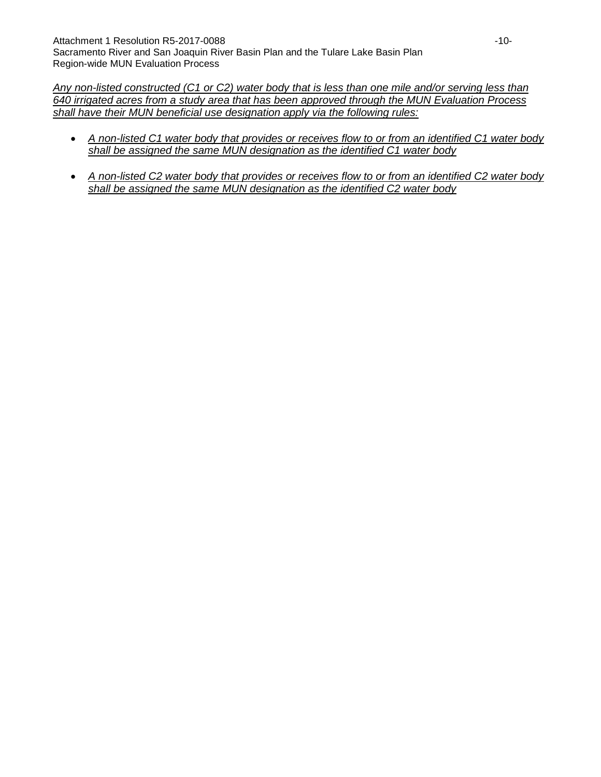*Any non-listed constructed (C1 or C2) water body that is less than one mile and/or serving less than 640 irrigated acres from a study area that has been approved through the MUN Evaluation Process shall have their MUN beneficial use designation apply via the following rules:* 

- *A non-listed C1 water body that provides or receives flow to or from an identified C1 water body shall be assigned the same MUN designation as the identified C1 water body*
- *A non-listed C2 water body that provides or receives flow to or from an identified C2 water body shall be assigned the same MUN designation as the identified C2 water body*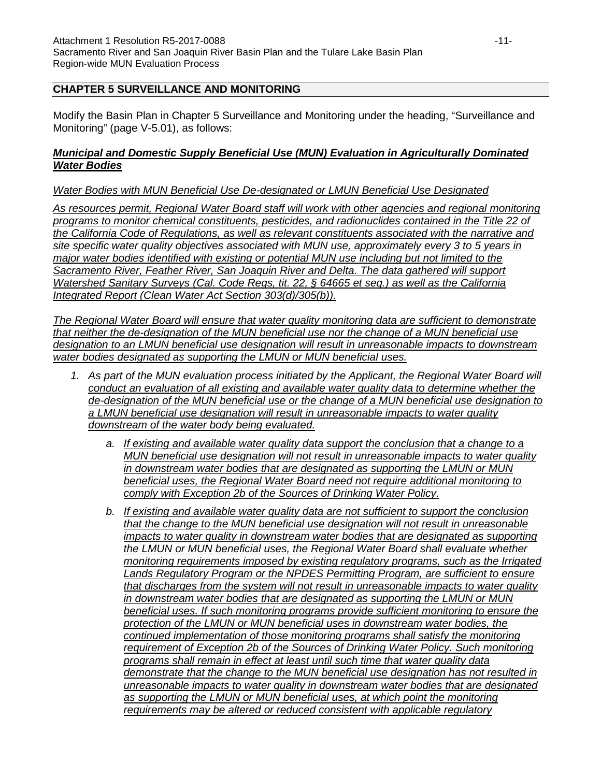### **CHAPTER 5 SURVEILLANCE AND MONITORING**

Modify the Basin Plan in Chapter 5 Surveillance and Monitoring under the heading, "Surveillance and Monitoring" (page V-5.01), as follows:

#### *Municipal and Domestic Supply Beneficial Use (MUN) Evaluation in Agriculturally Dominated Water Bodies*

#### *Water Bodies with MUN Beneficial Use De-designated or LMUN Beneficial Use Designated*

*As resources permit, Regional Water Board staff will work with other agencies and regional monitoring programs to monitor chemical constituents, pesticides, and radionuclides contained in the Title 22 of the California Code of Regulations, as well as relevant constituents associated with the narrative and site specific water quality objectives associated with MUN use, approximately every 3 to 5 years in major water bodies identified with existing or potential MUN use including but not limited to the Sacramento River, Feather River, San Joaquin River and Delta. The data gathered will support Watershed Sanitary Surveys (Cal. Code Regs, tit. 22, § 64665 et seq.) as well as the California Integrated Report (Clean Water Act Section 303(d)/305(b)).* 

*The Regional Water Board will ensure that water quality monitoring data are sufficient to demonstrate that neither the de-designation of the MUN beneficial use nor the change of a MUN beneficial use designation to an LMUN beneficial use designation will result in unreasonable impacts to downstream water bodies designated as supporting the LMUN or MUN beneficial uses.*

- *1. As part of the MUN evaluation process initiated by the Applicant, the Regional Water Board will conduct an evaluation of all existing and available water quality data to determine whether the de-designation of the MUN beneficial use or the change of a MUN beneficial use designation to a LMUN beneficial use designation will result in unreasonable impacts to water quality downstream of the water body being evaluated.*
	- *a. If existing and available water quality data support the conclusion that a change to a MUN beneficial use designation will not result in unreasonable impacts to water quality in downstream water bodies that are designated as supporting the LMUN or MUN beneficial uses, the Regional Water Board need not require additional monitoring to comply with Exception 2b of the Sources of Drinking Water Policy.*
	- *b. If existing and available water quality data are not sufficient to support the conclusion that the change to the MUN beneficial use designation will not result in unreasonable impacts to water quality in downstream water bodies that are designated as supporting the LMUN or MUN beneficial uses, the Regional Water Board shall evaluate whether monitoring requirements imposed by existing regulatory programs, such as the Irrigated Lands Regulatory Program or the NPDES Permitting Program, are sufficient to ensure that discharges from the system will not result in unreasonable impacts to water quality in downstream water bodies that are designated as supporting the LMUN or MUN beneficial uses. If such monitoring programs provide sufficient monitoring to ensure the protection of the LMUN or MUN beneficial uses in downstream water bodies, the continued implementation of those monitoring programs shall satisfy the monitoring requirement of Exception 2b of the Sources of Drinking Water Policy. Such monitoring programs shall remain in effect at least until such time that water quality data demonstrate that the change to the MUN beneficial use designation has not resulted in unreasonable impacts to water quality in downstream water bodies that are designated as supporting the LMUN or MUN beneficial uses, at which point the monitoring requirements may be altered or reduced consistent with applicable regulatory*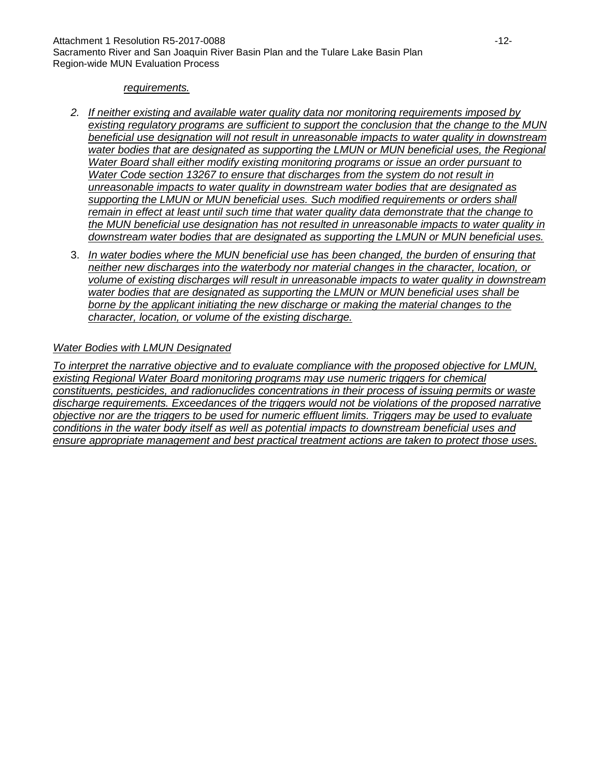#### *requirements.*

- *2. If neither existing and available water quality data nor monitoring requirements imposed by existing regulatory programs are sufficient to support the conclusion that the change to the MUN beneficial use designation will not result in unreasonable impacts to water quality in downstream*  water bodies that are designated as supporting the LMUN or MUN beneficial uses, the Regional *Water Board shall either modify existing monitoring programs or issue an order pursuant to Water Code section 13267 to ensure that discharges from the system do not result in unreasonable impacts to water quality in downstream water bodies that are designated as supporting the LMUN or MUN beneficial uses. Such modified requirements or orders shall remain in effect at least until such time that water quality data demonstrate that the change to the MUN beneficial use designation has not resulted in unreasonable impacts to water quality in downstream water bodies that are designated as supporting the LMUN or MUN beneficial uses.*
- 3. *In water bodies where the MUN beneficial use has been changed, the burden of ensuring that neither new discharges into the waterbody nor material changes in the character, location, or volume of existing discharges will result in unreasonable impacts to water quality in downstream water bodies that are designated as supporting the LMUN or MUN beneficial uses shall be borne by the applicant initiating the new discharge or making the material changes to the character, location, or volume of the existing discharge.*

#### *Water Bodies with LMUN Designated*

*To interpret the narrative objective and to evaluate compliance with the proposed objective for LMUN, existing Regional Water Board monitoring programs may use numeric triggers for chemical constituents, pesticides, and radionuclides concentrations in their process of issuing permits or waste discharge requirements. Exceedances of the triggers would not be violations of the proposed narrative objective nor are the triggers to be used for numeric effluent limits. Triggers may be used to evaluate conditions in the water body itself as well as potential impacts to downstream beneficial uses and ensure appropriate management and best practical treatment actions are taken to protect those uses.*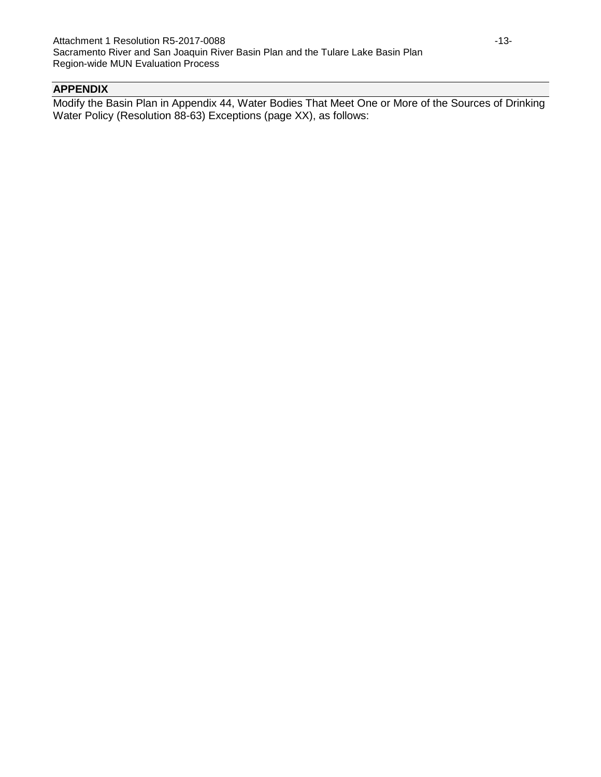# **APPENDIX**

Modify the Basin Plan in Appendix 44, Water Bodies That Meet One or More of the Sources of Drinking Water Policy (Resolution 88-63) Exceptions (page XX), as follows: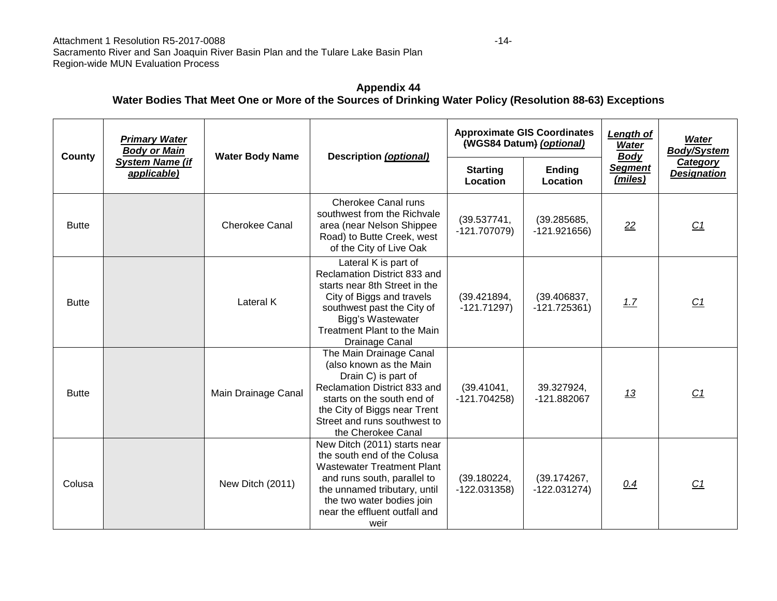## **Appendix 44 Water Bodies That Meet One or More of the Sources of Drinking Water Policy (Resolution 88-63) Exceptions**

| County       | <b>Primary Water</b><br><b>Body or Main</b><br><b>System Name (if</b><br>applicable) | <b>Water Body Name</b> | Description (optional)                                                                                                                                                                                                                | <b>Approximate GIS Coordinates</b><br>(WGS84 Datum) (optional) |                               | Length of<br>Water<br><b>Body</b> | <b>Water</b><br><b>Body/System</b>    |
|--------------|--------------------------------------------------------------------------------------|------------------------|---------------------------------------------------------------------------------------------------------------------------------------------------------------------------------------------------------------------------------------|----------------------------------------------------------------|-------------------------------|-----------------------------------|---------------------------------------|
|              |                                                                                      |                        |                                                                                                                                                                                                                                       | <b>Starting</b><br>Location                                    | <b>Ending</b><br>Location     | <b>Segment</b><br>(miles)         | <b>Category</b><br><b>Designation</b> |
| <b>Butte</b> |                                                                                      | <b>Cherokee Canal</b>  | <b>Cherokee Canal runs</b><br>southwest from the Richvale<br>area (near Nelson Shippee<br>Road) to Butte Creek, west<br>of the City of Live Oak                                                                                       | (39.537741,<br>$-121.707079$                                   | (39.285685,<br>$-121.921656$  | 22                                | C1                                    |
| <b>Butte</b> |                                                                                      | Lateral K              | Lateral K is part of<br>Reclamation District 833 and<br>starts near 8th Street in the<br>City of Biggs and travels<br>southwest past the City of<br>Bigg's Wastewater<br>Treatment Plant to the Main<br>Drainage Canal                | (39.421894,<br>$-121.71297$                                    | (39.406837,<br>$-121.725361)$ | 1.7                               | C <sub>1</sub>                        |
| <b>Butte</b> |                                                                                      | Main Drainage Canal    | The Main Drainage Canal<br>(also known as the Main<br>Drain C) is part of<br>Reclamation District 833 and<br>starts on the south end of<br>the City of Biggs near Trent<br>Street and runs southwest to<br>the Cherokee Canal         | (39.41041,<br>$-121.704258$                                    | 39.327924,<br>-121.882067     | <u>13</u>                         | C1                                    |
| Colusa       |                                                                                      | New Ditch (2011)       | New Ditch (2011) starts near<br>the south end of the Colusa<br><b>Wastewater Treatment Plant</b><br>and runs south, parallel to<br>the unnamed tributary, until<br>the two water bodies join<br>near the effluent outfall and<br>weir | (39.180224,<br>$-122.031358$                                   | (39.174267,<br>$-122.031274)$ | 0.4                               | C <sub>1</sub>                        |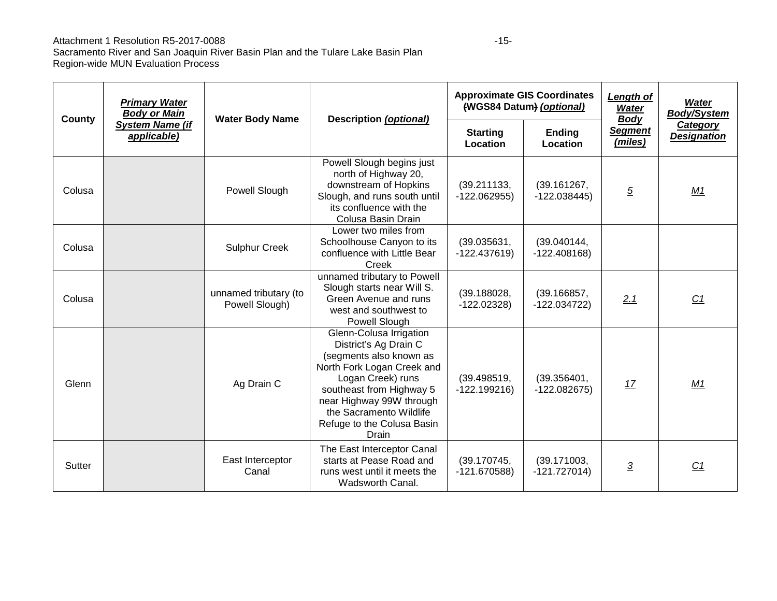#### Attachment 1 Resolution R5-2017-0088

| County | <b>Primary Water</b><br><b>Body or Main</b> | <b>Water Body Name</b>                  | <b>Description (optional)</b>                                                                                                                                                                                                                            | <b>Approximate GIS Coordinates</b><br>(WGS84 Datum) (optional) |                               | Length of<br><b>Water</b><br><b>Body</b> | Water<br><b>Body/System</b>    |
|--------|---------------------------------------------|-----------------------------------------|----------------------------------------------------------------------------------------------------------------------------------------------------------------------------------------------------------------------------------------------------------|----------------------------------------------------------------|-------------------------------|------------------------------------------|--------------------------------|
|        | <b>System Name (if</b><br>applicable)       |                                         |                                                                                                                                                                                                                                                          | <b>Starting</b><br>Location                                    | <b>Ending</b><br>Location     | <b>Segment</b><br>(miles)                | Category<br><b>Designation</b> |
| Colusa |                                             | Powell Slough                           | Powell Slough begins just<br>north of Highway 20,<br>downstream of Hopkins<br>Slough, and runs south until<br>its confluence with the<br>Colusa Basin Drain                                                                                              | (39.211133,<br>$-122.062955$                                   | (39.161267,<br>$-122.038445$  | $\overline{5}$                           | M1                             |
| Colusa |                                             | <b>Sulphur Creek</b>                    | Lower two miles from<br>Schoolhouse Canyon to its<br>confluence with Little Bear<br>Creek                                                                                                                                                                | (39.035631,<br>$-122.437619$                                   | (39.040144,<br>$-122.408168$  |                                          |                                |
| Colusa |                                             | unnamed tributary (to<br>Powell Slough) | unnamed tributary to Powell<br>Slough starts near Will S.<br>Green Avenue and runs<br>west and southwest to<br>Powell Slough                                                                                                                             | (39.188028,<br>$-122.02328$                                    | (39.166857,<br>$-122.034722$  | 2.1                                      | C <sub>1</sub>                 |
| Glenn  |                                             | Ag Drain C                              | Glenn-Colusa Irrigation<br>District's Ag Drain C<br>(segments also known as<br>North Fork Logan Creek and<br>Logan Creek) runs<br>southeast from Highway 5<br>near Highway 99W through<br>the Sacramento Wildlife<br>Refuge to the Colusa Basin<br>Drain | (39.498519,<br>$-122.199216$                                   | (39.356401,<br>$-122.082675$  | 17                                       | M1                             |
| Sutter |                                             | East Interceptor<br>Canal               | The East Interceptor Canal<br>starts at Pease Road and<br>runs west until it meets the<br>Wadsworth Canal.                                                                                                                                               | (39.170745,<br>$-121.670588$                                   | (39.171003,<br>$-121.727014)$ | $\overline{3}$                           | C1                             |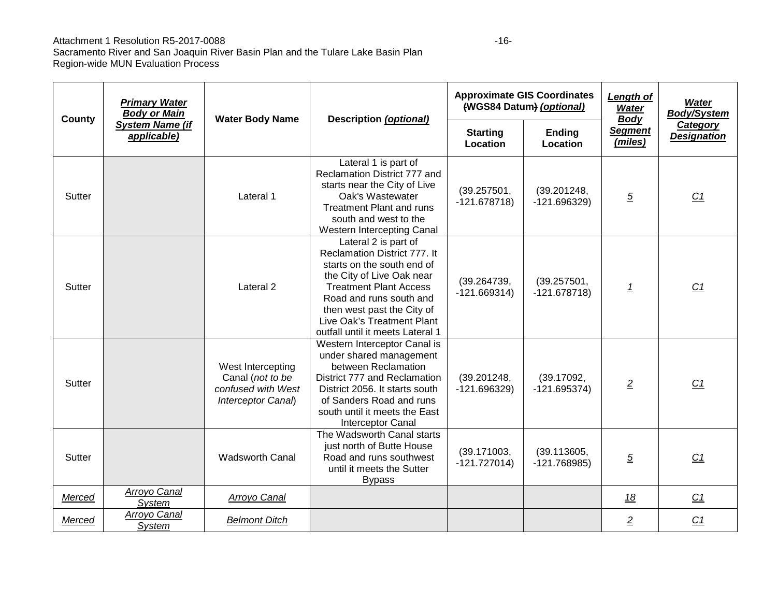#### Attachment 1 Resolution R5-2017-0088

| County | <b>Primary Water</b><br><b>Body or Main</b> | <b>Water Body Name</b>                                                            | <b>Description (optional)</b>                                                                                                                                                                                                                                               |                               | <b>Approximate GIS Coordinates</b><br>(WGS84 Datum) (optional) | <b>Length of</b><br><b>Water</b><br><b>Body</b><br><b>Segment</b><br>(miles) | <b>Water</b><br><b>Body/System</b><br><b>Category</b><br><b>Designation</b> |
|--------|---------------------------------------------|-----------------------------------------------------------------------------------|-----------------------------------------------------------------------------------------------------------------------------------------------------------------------------------------------------------------------------------------------------------------------------|-------------------------------|----------------------------------------------------------------|------------------------------------------------------------------------------|-----------------------------------------------------------------------------|
|        | <b>System Name (if</b><br>applicable)       |                                                                                   |                                                                                                                                                                                                                                                                             | <b>Starting</b><br>Location   | <b>Ending</b><br>Location                                      |                                                                              |                                                                             |
| Sutter |                                             | Lateral 1                                                                         | Lateral 1 is part of<br>Reclamation District 777 and<br>starts near the City of Live<br>Oak's Wastewater<br><b>Treatment Plant and runs</b><br>south and west to the<br>Western Intercepting Canal                                                                          | (39.257501,<br>$-121.678718$  | (39.201248,<br>$-121.696329$                                   | $\overline{5}$                                                               | C1                                                                          |
| Sutter |                                             | Lateral <sub>2</sub>                                                              | Lateral 2 is part of<br>Reclamation District 777. It<br>starts on the south end of<br>the City of Live Oak near<br><b>Treatment Plant Access</b><br>Road and runs south and<br>then west past the City of<br>Live Oak's Treatment Plant<br>outfall until it meets Lateral 1 | (39.264739,<br>$-121.669314)$ | (39.257501,<br>$-121.678718$                                   | $\overline{1}$                                                               | C <sub>1</sub>                                                              |
| Sutter |                                             | West Intercepting<br>Canal (not to be<br>confused with West<br>Interceptor Canal) | Western Interceptor Canal is<br>under shared management<br>between Reclamation<br>District 777 and Reclamation<br>District 2056. It starts south<br>of Sanders Road and runs<br>south until it meets the East<br><b>Interceptor Canal</b>                                   | (39.201248,<br>$-121.696329$  | (39.17092,<br>$-121.695374)$                                   | $\overline{2}$                                                               | C <sub>1</sub>                                                              |
| Sutter |                                             | <b>Wadsworth Canal</b>                                                            | The Wadsworth Canal starts<br>just north of Butte House<br>Road and runs southwest<br>until it meets the Sutter<br><b>Bypass</b>                                                                                                                                            | (39.171003,<br>$-121.727014$  | (39.113605,<br>$-121.768985$                                   | $\overline{5}$                                                               | C <sub>1</sub>                                                              |
| Merced | Arroyo Canal<br>System                      | Arroyo Canal                                                                      |                                                                                                                                                                                                                                                                             |                               |                                                                | <u>18</u>                                                                    | C <sub>1</sub>                                                              |
| Merced | Arroyo Canal<br>System                      | <b>Belmont Ditch</b>                                                              |                                                                                                                                                                                                                                                                             |                               |                                                                | $\overline{2}$                                                               | C <sub>1</sub>                                                              |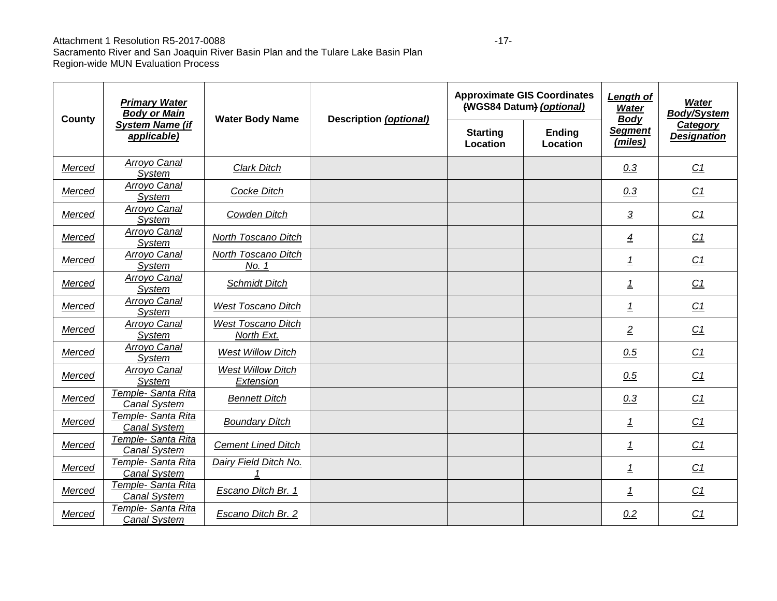#### Attachment 1 Resolution R5-2017-0088 -17-

| <b>Primary Water</b><br><b>Body or Main</b><br>County |                                           | <b>Water Body Name</b>                  | Description (optional) |                             | <b>Approximate GIS Coordinates</b><br>(WGS84 Datum) (optional) | <b>Length of</b><br><b>Water</b><br><b>Body</b> | <b>Water</b><br><b>Body/System</b><br>Category |
|-------------------------------------------------------|-------------------------------------------|-----------------------------------------|------------------------|-----------------------------|----------------------------------------------------------------|-------------------------------------------------|------------------------------------------------|
|                                                       | <b>System Name (if</b><br>applicable)     |                                         |                        | <b>Starting</b><br>Location | <b>Ending</b><br>Location                                      | <b>Segment</b><br>(miles)                       | <b>Designation</b>                             |
| Merced                                                | Arroyo Canal<br>System                    | Clark Ditch                             |                        |                             |                                                                | 0.3                                             | C1                                             |
| Merced                                                | Arroyo Canal<br>System                    | <b>Cocke Ditch</b>                      |                        |                             |                                                                | 0.3                                             | C <sub>1</sub>                                 |
| Merced                                                | Arroyo Canal<br><b>System</b>             | Cowden Ditch                            |                        |                             |                                                                | $\overline{3}$                                  | C1                                             |
| Merced                                                | Arroyo Canal<br>System                    | North Toscano Ditch                     |                        |                             |                                                                | $\overline{4}$                                  | C1                                             |
| Merced                                                | Arroyo Canal<br>System                    | North Toscano Ditch<br>No. 1            |                        |                             |                                                                | $\overline{1}$                                  | C1                                             |
| Merced                                                | Arroyo Canal<br>System                    | <b>Schmidt Ditch</b>                    |                        |                             |                                                                | $\overline{1}$                                  | C1                                             |
| Merced                                                | <b>Arroyo Canal</b><br><b>System</b>      | <b>West Toscano Ditch</b>               |                        |                             |                                                                | $\overline{1}$                                  | C1                                             |
| Merced                                                | Arroyo Canal<br>System                    | <b>West Toscano Ditch</b><br>North Ext. |                        |                             |                                                                | $\overline{2}$                                  | C <sub>1</sub>                                 |
| Merced                                                | Arroyo Canal<br>System                    | <b>West Willow Ditch</b>                |                        |                             |                                                                | 0.5                                             | C1                                             |
| Merced                                                | Arroyo Canal<br>System                    | <b>West Willow Ditch</b><br>Extension   |                        |                             |                                                                | 0.5                                             | C1                                             |
| Merced                                                | Temple- Santa Rita<br><b>Canal System</b> | <b>Bennett Ditch</b>                    |                        |                             |                                                                | 0.3                                             | C1                                             |
| Merced                                                | Temple- Santa Rita<br><b>Canal System</b> | <b>Boundary Ditch</b>                   |                        |                             |                                                                | <u>1</u>                                        | C <sub>1</sub>                                 |
| Merced                                                | Temple- Santa Rita<br><b>Canal System</b> | <b>Cement Lined Ditch</b>               |                        |                             |                                                                | $\overline{1}$                                  | C1                                             |
| Merced                                                | Temple- Santa Rita<br><b>Canal System</b> | Dairy Field Ditch No.                   |                        |                             |                                                                | $\overline{1}$                                  | C1                                             |
| Merced                                                | Temple- Santa Rita<br><b>Canal System</b> | Escano Ditch Br. 1                      |                        |                             |                                                                | $\overline{1}$                                  | C <sub>1</sub>                                 |
| Merced                                                | Temple- Santa Rita<br><b>Canal System</b> | Escano Ditch Br. 2                      |                        |                             |                                                                | 0.2                                             | C <sub>1</sub>                                 |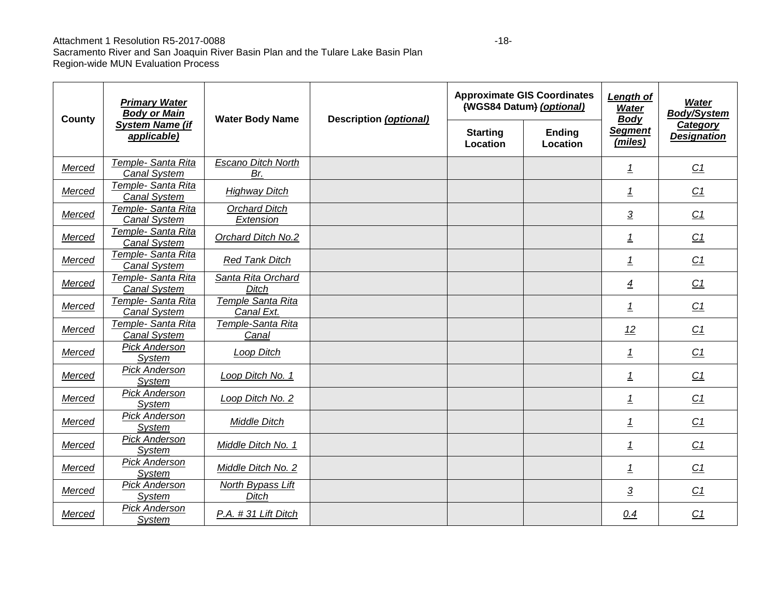### Attachment 1 Resolution R5-2017-0088 -18-

| <b>Primary Water</b><br><b>Body or Main</b><br>County |                                           | <b>Water Body Name</b>             | Description (optional) |                             | <b>Approximate GIS Coordinates</b><br>(WGS84 Datum) (optional) | <b>Length of</b><br><b>Water</b><br><b>Body</b> | <b>Water</b><br><b>Body/System</b><br><b>Category</b> |
|-------------------------------------------------------|-------------------------------------------|------------------------------------|------------------------|-----------------------------|----------------------------------------------------------------|-------------------------------------------------|-------------------------------------------------------|
|                                                       | <b>System Name (if</b><br>applicable)     |                                    |                        | <b>Starting</b><br>Location | <b>Ending</b><br>Location                                      | <b>Segment</b><br>(miles)                       | <b>Designation</b>                                    |
| Merced                                                | Temple- Santa Rita<br><b>Canal System</b> | <b>Escano Ditch North</b><br>Br.   |                        |                             |                                                                | <u>1</u>                                        | C1                                                    |
| Merced                                                | Temple- Santa Rita<br><b>Canal System</b> | <b>Highway Ditch</b>               |                        |                             |                                                                | 1                                               | C <sub>1</sub>                                        |
| Merced                                                | Temple- Santa Rita<br>Canal System        | <b>Orchard Ditch</b><br>Extension  |                        |                             |                                                                | $\overline{3}$                                  | C1                                                    |
| Merced                                                | Temple- Santa Rita<br><b>Canal System</b> | Orchard Ditch No.2                 |                        |                             |                                                                | $\overline{1}$                                  | C1                                                    |
| <b>Merced</b>                                         | Temple- Santa Rita<br><b>Canal System</b> | <b>Red Tank Ditch</b>              |                        |                             |                                                                | $\overline{1}$                                  | C1                                                    |
| Merced                                                | Temple- Santa Rita<br><b>Canal System</b> | Santa Rita Orchard<br><b>Ditch</b> |                        |                             |                                                                | $\overline{4}$                                  | C1                                                    |
| Merced                                                | Temple- Santa Rita<br><b>Canal System</b> | Temple Santa Rita<br>Canal Ext.    |                        |                             |                                                                | $\overline{1}$                                  | C <sub>1</sub>                                        |
| Merced                                                | Temple- Santa Rita<br>Canal System        | Temple-Santa Rita<br>Canal         |                        |                             |                                                                | 12                                              | C1                                                    |
| Merced                                                | <b>Pick Anderson</b><br>System            | Loop Ditch                         |                        |                             |                                                                | 1                                               | C1                                                    |
| Merced                                                | Pick Anderson<br>System                   | Loop Ditch No. 1                   |                        |                             |                                                                | $\overline{1}$                                  | C1                                                    |
| Merced                                                | Pick Anderson<br><b>System</b>            | Loop Ditch No. 2                   |                        |                             |                                                                | $\overline{1}$                                  | C <sub>1</sub>                                        |
| Merced                                                | <b>Pick Anderson</b><br><b>System</b>     | Middle Ditch                       |                        |                             |                                                                | $\overline{1}$                                  | C <sub>1</sub>                                        |
| Merced                                                | Pick Anderson<br><b>System</b>            | Middle Ditch No. 1                 |                        |                             |                                                                | 1                                               | C <sub>1</sub>                                        |
| Merced                                                | <b>Pick Anderson</b><br>System            | Middle Ditch No. 2                 |                        |                             |                                                                | 1                                               | C1                                                    |
| Merced                                                | <b>Pick Anderson</b><br>System            | North Bypass Lift<br>Ditch         |                        |                             |                                                                | $\overline{3}$                                  | C <sub>1</sub>                                        |
| Merced                                                | <b>Pick Anderson</b><br><b>System</b>     | P.A. #31 Lift Ditch                |                        |                             |                                                                | 0.4                                             | C <sub>1</sub>                                        |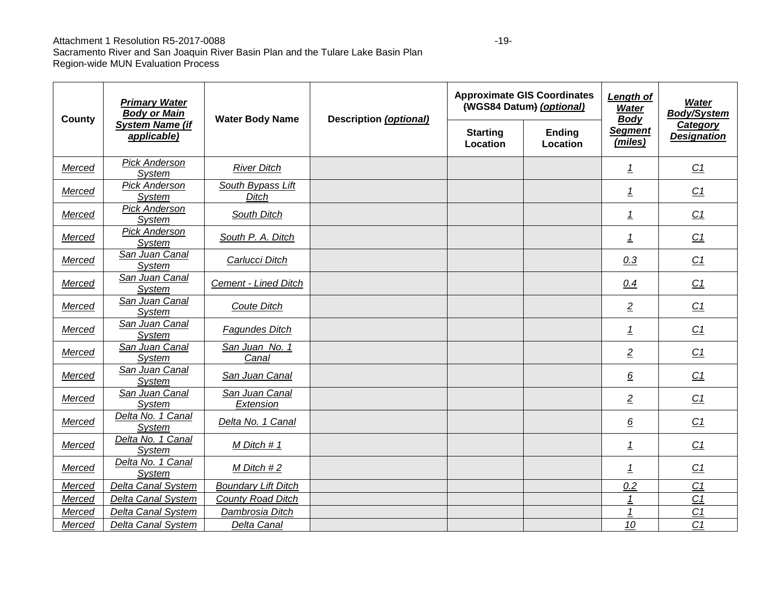#### Attachment 1 Resolution R5-2017-0088 -19-

| County | <b>Primary Water</b><br><b>Body or Main</b> | <b>Water Body Name</b>            | Description (optional) |                             | <b>Approximate GIS Coordinates</b><br>(WGS84 Datum) (optional) | Length of<br><b>Water</b><br><b>Body</b> | <b>Water</b><br><b>Body/System</b><br>Category |
|--------|---------------------------------------------|-----------------------------------|------------------------|-----------------------------|----------------------------------------------------------------|------------------------------------------|------------------------------------------------|
|        | <b>System Name (if</b><br>applicable)       |                                   |                        | <b>Starting</b><br>Location | <b>Ending</b><br>Location                                      | <b>Segment</b><br>(miles)                | <b>Designation</b>                             |
| Merced | <b>Pick Anderson</b><br>System              | <b>River Ditch</b>                |                        |                             |                                                                | $\overline{1}$                           | C1                                             |
| Merced | <b>Pick Anderson</b><br>System              | South Bypass Lift<br><b>Ditch</b> |                        |                             |                                                                | $\overline{1}$                           | C1                                             |
| Merced | Pick Anderson<br><b>System</b>              | South Ditch                       |                        |                             |                                                                | $\overline{1}$                           | C1                                             |
| Merced | <b>Pick Anderson</b><br>System              | South P. A. Ditch                 |                        |                             |                                                                | $\overline{1}$                           | C1                                             |
| Merced | San Juan Canal<br>System                    | Carlucci Ditch                    |                        |                             |                                                                | 0.3                                      | C1                                             |
| Merced | San Juan Canal<br>System                    | <b>Cement - Lined Ditch</b>       |                        |                             |                                                                | 0.4                                      | C1                                             |
| Merced | San Juan Canal<br>System                    | Coute Ditch                       |                        |                             |                                                                | $\overline{2}$                           | C1                                             |
| Merced | San Juan Canal<br>System                    | <b>Fagundes Ditch</b>             |                        |                             |                                                                | $\overline{1}$                           | C1                                             |
| Merced | San Juan Canal<br>System                    | San Juan No. 1<br>Canal           |                        |                             |                                                                | $\overline{2}$                           | C1                                             |
| Merced | San Juan Canal<br>System                    | San Juan Canal                    |                        |                             |                                                                | $\underline{6}$                          | C1                                             |
| Merced | San Juan Canal<br>System                    | San Juan Canal<br>Extension       |                        |                             |                                                                | $\overline{2}$                           | C1                                             |
| Merced | Delta No. 1 Canal<br>System                 | Delta No. 1 Canal                 |                        |                             |                                                                | $6\overline{6}$                          | C1                                             |
| Merced | Delta No. 1 Canal<br>System                 | M Ditch # 1                       |                        |                             |                                                                | <u>1</u>                                 | C <sub>1</sub>                                 |
| Merced | Delta No. 1 Canal<br><b>System</b>          | $M$ Ditch #2                      |                        |                             |                                                                | $\overline{1}$                           | C1                                             |
| Merced | <b>Delta Canal System</b>                   | <b>Boundary Lift Ditch</b>        |                        |                             |                                                                | 0.2                                      | C1                                             |
| Merced | <b>Delta Canal System</b>                   | <b>County Road Ditch</b>          |                        |                             |                                                                | 1                                        | C <sub>1</sub>                                 |
| Merced | <b>Delta Canal System</b>                   | Dambrosia Ditch                   |                        |                             |                                                                | 1                                        | C <sub>1</sub>                                 |
| Merced | <b>Delta Canal System</b>                   | <b>Delta Canal</b>                |                        |                             |                                                                | 10                                       | C <sub>1</sub>                                 |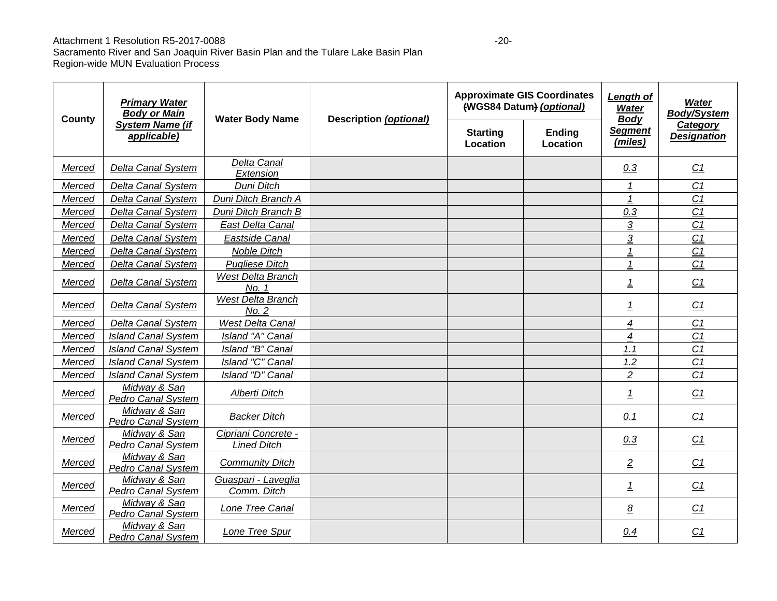#### Attachment 1 Resolution R5-2017-0088

| County        | <b>Primary Water</b><br><b>Body or Main</b><br><b>System Name (if</b><br>applicable) | <b>Water Body Name</b>                    | <b>Description (optional)</b> |                             | <b>Approximate GIS Coordinates</b><br>(WGS84 Datum) (optional) | Length of<br>Water<br><b>Body</b> | <b>Water</b><br><b>Body/System</b><br><b>Category</b><br><b>Designation</b> |
|---------------|--------------------------------------------------------------------------------------|-------------------------------------------|-------------------------------|-----------------------------|----------------------------------------------------------------|-----------------------------------|-----------------------------------------------------------------------------|
|               |                                                                                      |                                           |                               | <b>Starting</b><br>Location | Ending<br>Location                                             | <b>Segment</b><br>(miles)         |                                                                             |
| Merced        | <b>Delta Canal System</b>                                                            | Delta Canal<br>Extension                  |                               |                             |                                                                | 0.3                               | C <sub>1</sub>                                                              |
| Merced        | <b>Delta Canal System</b>                                                            | Duni Ditch                                |                               |                             |                                                                | 1                                 | C <sub>1</sub>                                                              |
| Merced        | Delta Canal System                                                                   | Duni Ditch Branch A                       |                               |                             |                                                                | $\overline{1}$                    | C <sub>1</sub>                                                              |
| Merced        | <b>Delta Canal System</b>                                                            | Duni Ditch Branch B                       |                               |                             |                                                                | 0.3                               | C <sub>1</sub>                                                              |
| <b>Merced</b> | Delta Canal System                                                                   | East Delta Canal                          |                               |                             |                                                                | $\overline{3}$                    | C <sub>1</sub>                                                              |
| Merced        | <b>Delta Canal System</b>                                                            | Eastside Canal                            |                               |                             |                                                                | $\overline{3}$                    | C <sub>1</sub>                                                              |
| Merced        | <b>Delta Canal System</b>                                                            | <b>Noble Ditch</b>                        |                               |                             |                                                                | $\mathbf{1}$                      | C <sub>1</sub>                                                              |
| Merced        | <b>Delta Canal System</b>                                                            | <b>Pugliese Ditch</b>                     |                               |                             |                                                                | 1                                 | C <sub>1</sub>                                                              |
| Merced        | Delta Canal System                                                                   | <b>West Delta Branch</b><br>No. 1         |                               |                             |                                                                | <u>1</u>                          | C1                                                                          |
| Merced        | Delta Canal System                                                                   | West Delta Branch<br>No. 2                |                               |                             |                                                                | <u>1</u>                          | C1                                                                          |
| Merced        | <b>Delta Canal System</b>                                                            | West Delta Canal                          |                               |                             |                                                                | $\overline{4}$                    | C <sub>1</sub>                                                              |
| Merced        | <b>Island Canal System</b>                                                           | Island "A" Canal                          |                               |                             |                                                                | 4                                 | C <sub>1</sub>                                                              |
| Merced        | <b>Island Canal System</b>                                                           | Island "B" Canal                          |                               |                             |                                                                | 1.1                               | C <sub>1</sub>                                                              |
| Merced        | <b>Island Canal System</b>                                                           | Island "C" Canal                          |                               |                             |                                                                | 1.2                               | C1                                                                          |
| Merced        | <b>Island Canal System</b>                                                           | Island "D" Canal                          |                               |                             |                                                                | $\overline{2}$                    | C <sub>1</sub>                                                              |
| Merced        | Midway & San<br><b>Pedro Canal System</b>                                            | Alberti Ditch                             |                               |                             |                                                                | $\overline{1}$                    | C <sub>1</sub>                                                              |
| Merced        | Midway & San<br><b>Pedro Canal System</b>                                            | <b>Backer Ditch</b>                       |                               |                             |                                                                | 0.1                               | C1                                                                          |
| Merced        | Midway & San<br>Pedro Canal System                                                   | Cipriani Concrete -<br><b>Lined Ditch</b> |                               |                             |                                                                | 0.3                               | C1                                                                          |
| Merced        | Midway & San<br>Pedro Canal System                                                   | <b>Community Ditch</b>                    |                               |                             |                                                                | $\overline{2}$                    | C <sub>1</sub>                                                              |
| <b>Merced</b> | Midway & San<br>Pedro Canal System                                                   | Guaspari - Laveglia<br>Comm. Ditch        |                               |                             |                                                                | 1                                 | C <sub>1</sub>                                                              |
| Merced        | Midway & San<br>Pedro Canal System                                                   | Lone Tree Canal                           |                               |                             |                                                                | $\underline{\mathcal{B}}$         | C <sub>1</sub>                                                              |
| Merced        | Midway & San<br><b>Pedro Canal System</b>                                            | Lone Tree Spur                            |                               |                             |                                                                | 0.4                               | C1                                                                          |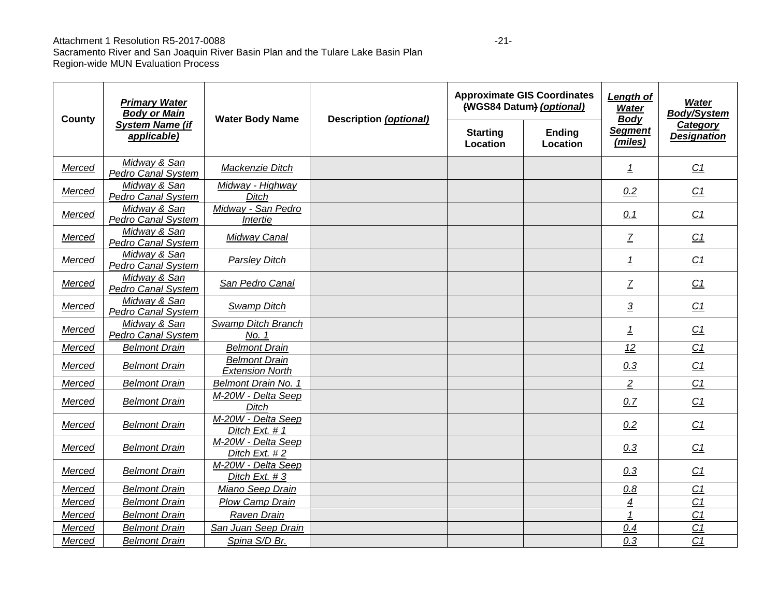#### Attachment 1 Resolution R5-2017-0088 -21-

| <b>Primary Water</b><br><b>Body or Main</b><br><b>County</b> |                                           | <b>Water Body Name</b>                         | <b>Description (optional)</b> |                             | <b>Approximate GIS Coordinates</b><br>(WGS84 Datum) (optional) | Length of<br><b>Water</b><br><b>Body</b> | <b>Water</b><br><b>Body/System</b><br>Category |
|--------------------------------------------------------------|-------------------------------------------|------------------------------------------------|-------------------------------|-----------------------------|----------------------------------------------------------------|------------------------------------------|------------------------------------------------|
|                                                              | <b>System Name (if</b><br>applicable)     |                                                |                               | <b>Starting</b><br>Location | <b>Ending</b><br>Location                                      | <b>Segment</b><br>(miles)                | <b>Designation</b>                             |
| Merced                                                       | Midway & San<br>Pedro Canal System        | Mackenzie Ditch                                |                               |                             |                                                                | $\overline{1}$                           | C1                                             |
| Merced                                                       | Midway & San<br>Pedro Canal System        | Midway - Highway<br><b>Ditch</b>               |                               |                             |                                                                | 0.2                                      | C <sub>1</sub>                                 |
| Merced                                                       | Midway & San<br><b>Pedro Canal System</b> | Midway - San Pedro<br>Intertie                 |                               |                             |                                                                | 0.1                                      | C <sub>1</sub>                                 |
| Merced                                                       | Midway & San<br><b>Pedro Canal System</b> | Midway Canal                                   |                               |                             |                                                                | $\overline{Z}$                           | C1                                             |
| Merced                                                       | Midway & San<br><b>Pedro Canal System</b> | Parsley Ditch                                  |                               |                             |                                                                | $\overline{1}$                           | C <sub>1</sub>                                 |
| Merced                                                       | Midway & San<br><b>Pedro Canal System</b> | San Pedro Canal                                |                               |                             |                                                                | $\overline{Z}$                           | C <sub>1</sub>                                 |
| Merced                                                       | Midway & San<br><b>Pedro Canal System</b> | <b>Swamp Ditch</b>                             |                               |                             |                                                                | $\overline{3}$                           | C1                                             |
| Merced                                                       | Midway & San<br><b>Pedro Canal System</b> | Swamp Ditch Branch<br>No. 1                    |                               |                             |                                                                | $\overline{1}$                           | C1                                             |
| Merced                                                       | <b>Belmont Drain</b>                      | <b>Belmont Drain</b>                           |                               |                             |                                                                | 12                                       | C <sub>1</sub>                                 |
| Merced                                                       | <b>Belmont Drain</b>                      | <b>Belmont Drain</b><br><b>Extension North</b> |                               |                             |                                                                | 0.3                                      | C <sub>1</sub>                                 |
| Merced                                                       | <b>Belmont Drain</b>                      | Belmont Drain No. 1                            |                               |                             |                                                                | $\overline{2}$                           | C <sub>1</sub>                                 |
| Merced                                                       | <b>Belmont Drain</b>                      | M-20W - Delta Seep<br><b>Ditch</b>             |                               |                             |                                                                | 0.7                                      | C1                                             |
| Merced                                                       | <b>Belmont Drain</b>                      | M-20W - Delta Seep<br>Ditch Ext. # 1           |                               |                             |                                                                | 0.2                                      | C1                                             |
| Merced                                                       | <b>Belmont Drain</b>                      | M-20W - Delta Seep<br>Ditch Ext. #2            |                               |                             |                                                                | 0.3                                      | C1                                             |
| Merced                                                       | <b>Belmont Drain</b>                      | M-20W - Delta Seep<br>Ditch Ext. #3            |                               |                             |                                                                | 0.3                                      | C <sub>1</sub>                                 |
| Merced                                                       | <b>Belmont Drain</b>                      | Miano Seep Drain                               |                               |                             |                                                                | 0.8                                      | C <sub>1</sub>                                 |
| Merced                                                       | <b>Belmont Drain</b>                      | <b>Plow Camp Drain</b>                         |                               |                             |                                                                | 4                                        | C <sub>1</sub>                                 |
| Merced                                                       | <b>Belmont Drain</b>                      | Raven Drain                                    |                               |                             |                                                                | $\mathbf{1}$                             | C <sub>1</sub>                                 |
| Merced                                                       | <b>Belmont Drain</b>                      | <b>San Juan Seep Drain</b>                     |                               |                             |                                                                | 0.4                                      | C <sub>1</sub>                                 |
| Merced                                                       | <b>Belmont Drain</b>                      | Spina S/D Br.                                  |                               |                             |                                                                | 0.3                                      | C <sub>1</sub>                                 |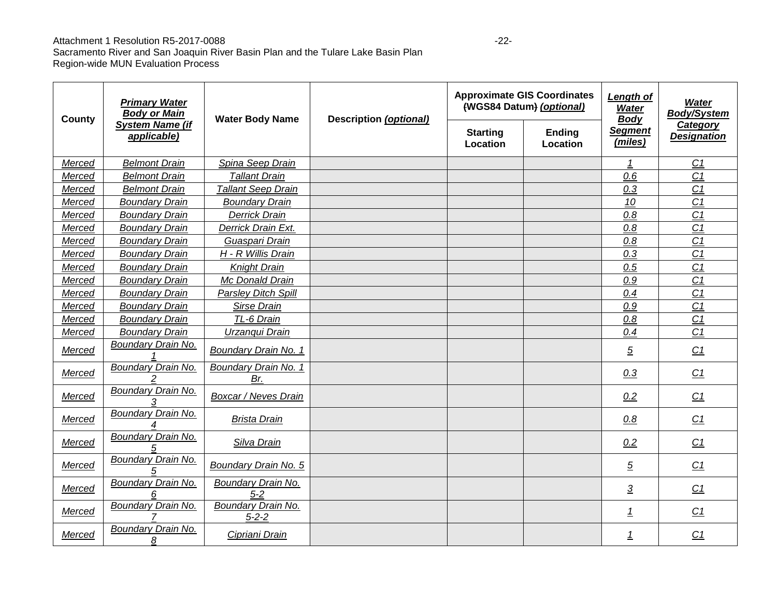#### Attachment 1 Resolution R5-2017-0088 -22-<br>
-22-

| County | <b>Approximate GIS Coordinates</b><br><b>Primary Water</b><br>(WGS84 Datum) (optional)<br><b>Body or Main</b><br><b>Water Body Name</b><br><b>Description (optional)</b> |                                    | <b>Length of</b><br><b>Water</b><br><b>Body</b> | <b>Water</b><br><b>Body/System</b> |                           |                                |
|--------|--------------------------------------------------------------------------------------------------------------------------------------------------------------------------|------------------------------------|-------------------------------------------------|------------------------------------|---------------------------|--------------------------------|
|        | <b>System Name (if</b><br>applicable)                                                                                                                                    |                                    | <b>Starting</b><br>Location                     | Ending<br>Location                 | <b>Segment</b><br>(miles) | Category<br><b>Designation</b> |
| Merced | <b>Belmont Drain</b>                                                                                                                                                     | Spina Seep Drain                   |                                                 |                                    |                           | C <sub>1</sub>                 |
| Merced | <b>Belmont Drain</b>                                                                                                                                                     | <b>Tallant Drain</b>               |                                                 |                                    | 0.6                       | C <sub>1</sub>                 |
| Merced | <b>Belmont Drain</b>                                                                                                                                                     | <b>Tallant Seep Drain</b>          |                                                 |                                    | 0.3                       | C <sub>1</sub>                 |
| Merced | <b>Boundary Drain</b>                                                                                                                                                    | <b>Boundary Drain</b>              |                                                 |                                    | 10                        | C <sub>1</sub>                 |
| Merced | <b>Boundary Drain</b>                                                                                                                                                    | Derrick Drain                      |                                                 |                                    | 0.8                       | C <sub>1</sub>                 |
| Merced | <b>Boundary Drain</b>                                                                                                                                                    | Derrick Drain Ext.                 |                                                 |                                    | 0.8                       | C <sub>1</sub>                 |
| Merced | <b>Boundary Drain</b>                                                                                                                                                    | Guaspari Drain                     |                                                 |                                    | 0.8                       | C <sub>1</sub>                 |
| Merced | <b>Boundary Drain</b>                                                                                                                                                    | H - R Willis Drain                 |                                                 |                                    | 0.3                       | C <sub>1</sub>                 |
| Merced | <b>Boundary Drain</b>                                                                                                                                                    | <b>Knight Drain</b>                |                                                 |                                    | 0.5                       | C <sub>1</sub>                 |
| Merced | <b>Boundary Drain</b>                                                                                                                                                    | Mc Donald Drain                    |                                                 |                                    | 0.9                       | C <sub>1</sub>                 |
| Merced | <b>Boundary Drain</b>                                                                                                                                                    | Parsley Ditch Spill                |                                                 |                                    | 0.4                       | C <sub>1</sub>                 |
| Merced | <b>Boundary Drain</b>                                                                                                                                                    | Sirse Drain                        |                                                 |                                    | 0.9                       | C <sub>1</sub>                 |
| Merced | <b>Boundary Drain</b>                                                                                                                                                    | TL-6 Drain                         |                                                 |                                    | 0.8                       | C <sub>1</sub>                 |
| Merced | <b>Boundary Drain</b>                                                                                                                                                    | Urzangui Drain                     |                                                 |                                    | 0.4                       | C <sub>1</sub>                 |
| Merced | Boundary Drain No.                                                                                                                                                       | Boundary Drain No. 1               |                                                 |                                    | $\overline{5}$            | C <sub>1</sub>                 |
| Merced | Boundary Drain No.                                                                                                                                                       | Boundary Drain No. 1<br>Br.        |                                                 |                                    | 0.3                       | C <sub>1</sub>                 |
| Merced | Boundary Drain No.                                                                                                                                                       | <b>Boxcar / Neves Drain</b>        |                                                 |                                    | 0.2                       | C1                             |
| Merced | Boundary Drain No.                                                                                                                                                       | <b>Brista Drain</b>                |                                                 |                                    | 0.8                       | C <sub>1</sub>                 |
| Merced | Boundary Drain No.                                                                                                                                                       | Silva Drain                        |                                                 |                                    | 0.2                       | C1                             |
| Merced | <b>Boundary Drain No.</b>                                                                                                                                                | Boundary Drain No. 5               |                                                 |                                    | $\overline{5}$            | C1                             |
| Merced | <b>Boundary Drain No.</b>                                                                                                                                                | <b>Boundary Drain No.</b><br>$5-2$ |                                                 |                                    | $\overline{3}$            | C1                             |
| Merced | Boundary Drain No.                                                                                                                                                       | Boundary Drain No.<br>$5 - 2 - 2$  |                                                 |                                    | <u>1</u>                  | C1                             |
| Merced | Boundary Drain No.<br>8                                                                                                                                                  | Cipriani Drain                     |                                                 |                                    | <u>1</u>                  | C1                             |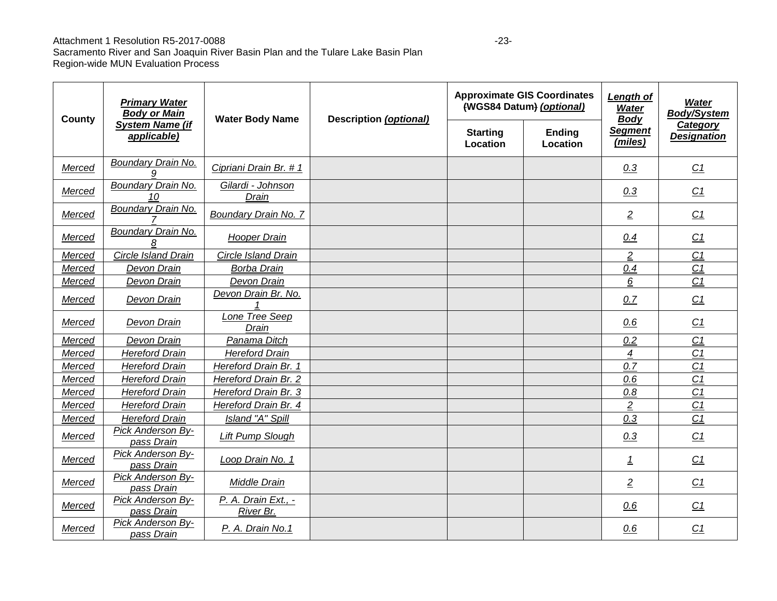#### Attachment 1 Resolution R5-2017-0088 -23-

| County | <b>Primary Water</b><br><b>Body or Main</b> | <b>Water Body Name</b>           | <b>Description (optional)</b> | <b>Approximate GIS Coordinates</b><br>(WGS84 Datum) (optional) |                           | Length of<br><b>Water</b><br><b>Body</b> | <b>Water</b><br><b>Body/System</b> |
|--------|---------------------------------------------|----------------------------------|-------------------------------|----------------------------------------------------------------|---------------------------|------------------------------------------|------------------------------------|
|        | <b>System Name (if</b><br>applicable)       |                                  |                               | <b>Starting</b><br>Location                                    | <b>Ending</b><br>Location | <b>Segment</b><br>(miles)                | Category<br><b>Designation</b>     |
| Merced | <b>Boundary Drain No.</b><br>a              | Cipriani Drain Br. # 1           |                               |                                                                |                           | 0.3                                      | C1                                 |
| Merced | <b>Boundary Drain No.</b><br>10             | Gilardi - Johnson<br>Drain       |                               |                                                                |                           | 0.3                                      | C <sub>1</sub>                     |
| Merced | <b>Boundary Drain No.</b>                   | <b>Boundary Drain No. 7</b>      |                               |                                                                |                           | $\overline{2}$                           | C1                                 |
| Merced | Boundary Drain No.<br>8                     | <b>Hooper Drain</b>              |                               |                                                                |                           | 0.4                                      | C1                                 |
| Merced | Circle Island Drain                         | Circle Island Drain              |                               |                                                                |                           | $\overline{2}$                           | C1                                 |
| Merced | Devon Drain                                 | <b>Borba Drain</b>               |                               |                                                                |                           | 0.4                                      | C1                                 |
| Merced | Devon Drain                                 | Devon Drain                      |                               |                                                                |                           | 6                                        | C <sub>1</sub>                     |
| Merced | Devon Drain                                 | Devon Drain Br. No.              |                               |                                                                |                           | 0.7                                      | C <sub>1</sub>                     |
| Merced | Devon Drain                                 | Lone Tree Seep<br>Drain          |                               |                                                                |                           | 0.6                                      | C1                                 |
| Merced | Devon Drain                                 | Panama Ditch                     |                               |                                                                |                           | 0.2                                      | C1                                 |
| Merced | <b>Hereford Drain</b>                       | <b>Hereford Drain</b>            |                               |                                                                |                           | $\overline{4}$                           | C <sub>1</sub>                     |
| Merced | <b>Hereford Drain</b>                       | Hereford Drain Br. 1             |                               |                                                                |                           | 0.7                                      | C <sub>1</sub>                     |
| Merced | <b>Hereford Drain</b>                       | Hereford Drain Br. 2             |                               |                                                                |                           | 0.6                                      | C <sub>1</sub>                     |
| Merced | <b>Hereford Drain</b>                       | Hereford Drain Br. 3             |                               |                                                                |                           | 0.8                                      | C <sub>1</sub>                     |
| Merced | <b>Hereford Drain</b>                       | Hereford Drain Br. 4             |                               |                                                                |                           | $\overline{c}$                           | C <sub>1</sub>                     |
| Merced | <b>Hereford Drain</b>                       | Island "A" Spill                 |                               |                                                                |                           | 0.3                                      | C <sub>1</sub>                     |
| Merced | Pick Anderson By-<br>pass Drain             | Lift Pump Slough                 |                               |                                                                |                           | 0.3                                      | C <sub>1</sub>                     |
| Merced | Pick Anderson By-<br>pass Drain             | Loop Drain No. 1                 |                               |                                                                |                           | $\overline{1}$                           | C <sub>1</sub>                     |
| Merced | Pick Anderson By-<br>pass Drain             | Middle Drain                     |                               |                                                                |                           | $\overline{2}$                           | C <sub>1</sub>                     |
| Merced | Pick Anderson By-<br>pass Drain             | P. A. Drain Ext., -<br>River Br. |                               |                                                                |                           | 0.6                                      | C1                                 |
| Merced | <b>Pick Anderson By-</b><br>pass Drain      | P. A. Drain No.1                 |                               |                                                                |                           | 0.6                                      | C <sub>1</sub>                     |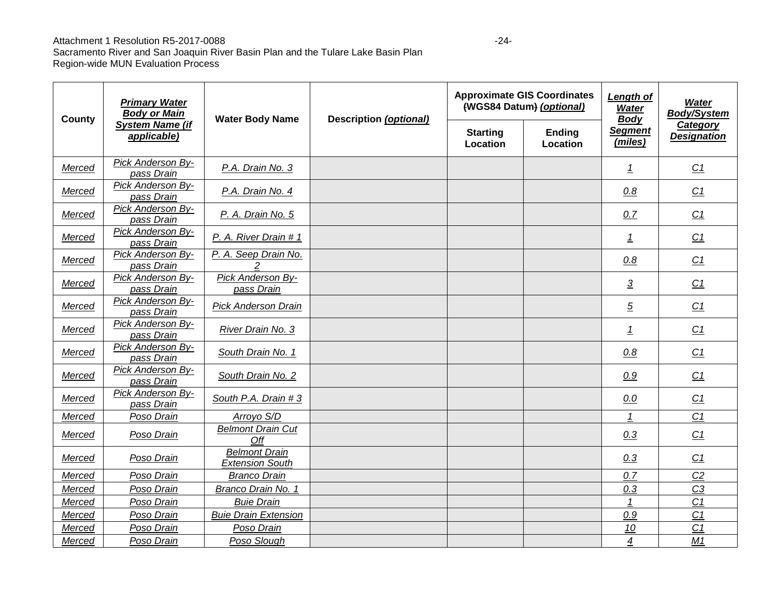#### Attachment 1 Resolution R5-2017-0088

| County | <b>Primary Water</b><br><b>Body or Main</b> | <b>Water Body Name</b>                         | <b>Description (optional)</b> | <b>Approximate GIS Coordinates</b><br>(WGS84 Datum) (optional) |                           | <b>Length of</b><br><b>Water</b><br><b>Body</b> | Water<br><b>Body/System</b>    |
|--------|---------------------------------------------|------------------------------------------------|-------------------------------|----------------------------------------------------------------|---------------------------|-------------------------------------------------|--------------------------------|
|        | <b>System Name (if</b><br>applicable)       |                                                |                               | <b>Starting</b><br>Location                                    | <b>Ending</b><br>Location | <b>Segment</b><br>(miles)                       | Category<br><b>Designation</b> |
| Merced | Pick Anderson By-<br>pass Drain             | P.A. Drain No. 3                               |                               |                                                                |                           | 1                                               | C1                             |
| Merced | Pick Anderson By-<br>pass Drain             | P.A. Drain No. 4                               |                               |                                                                |                           | 0.8                                             | C <sub>1</sub>                 |
| Merced | Pick Anderson By-<br>pass Drain             | P. A. Drain No. 5                              |                               |                                                                |                           | 0.7                                             | C1                             |
| Merced | Pick Anderson By-<br>pass Drain             | P. A. River Drain # 1                          |                               |                                                                |                           | $\overline{1}$                                  | C <sub>1</sub>                 |
| Merced | Pick Anderson By-<br>pass Drain             | P. A. Seep Drain No.                           |                               |                                                                |                           | 0.8                                             | C1                             |
| Merced | Pick Anderson By-<br>pass Drain             | Pick Anderson By-<br>pass Drain                |                               |                                                                |                           | $\overline{3}$                                  | C <sub>1</sub>                 |
| Merced | <b>Pick Anderson By-</b><br>pass Drain      | <b>Pick Anderson Drain</b>                     |                               |                                                                |                           | $\overline{5}$                                  | C1                             |
| Merced | Pick Anderson By-<br>pass Drain             | River Drain No. 3                              |                               |                                                                |                           | 1                                               | C1                             |
| Merced | Pick Anderson By-<br>pass Drain             | South Drain No. 1                              |                               |                                                                |                           | 0.8                                             | C <sub>1</sub>                 |
| Merced | Pick Anderson By-<br>pass Drain             | South Drain No. 2                              |                               |                                                                |                           | 0.9                                             | C <sub>1</sub>                 |
| Merced | Pick Anderson By-<br>pass Drain             | South P.A. Drain # 3                           |                               |                                                                |                           | 0.0                                             | C1                             |
| Merced | Poso Drain                                  | Arroyo S/D                                     |                               |                                                                |                           | 1                                               | C <sub>1</sub>                 |
| Merced | Poso Drain                                  | <b>Belmont Drain Cut</b><br>Off                |                               |                                                                |                           | 0.3                                             | C <sub>1</sub>                 |
| Merced | Poso Drain                                  | <b>Belmont Drain</b><br><b>Extension South</b> |                               |                                                                |                           | 0.3                                             | C <sub>1</sub>                 |
| Merced | Poso Drain                                  | <b>Branco Drain</b>                            |                               |                                                                |                           | 0.7                                             | C <sub>2</sub>                 |
| Merced | Poso Drain                                  | Branco Drain No. 1                             |                               |                                                                |                           | 0.3                                             | C <sub>3</sub>                 |
| Merced | Poso Drain                                  | <b>Buie Drain</b>                              |                               |                                                                |                           | $\mathbf{1}$                                    | C <sub>1</sub>                 |
| Merced | Poso Drain                                  | <b>Buie Drain Extension</b>                    |                               |                                                                |                           | 0.9                                             | C <sub>1</sub>                 |
| Merced | Poso Drain                                  | Poso Drain                                     |                               |                                                                |                           | 10                                              | C <sub>1</sub>                 |
| Merced | Poso Drain                                  | Poso Slough                                    |                               |                                                                |                           | $\overline{4}$                                  | M1                             |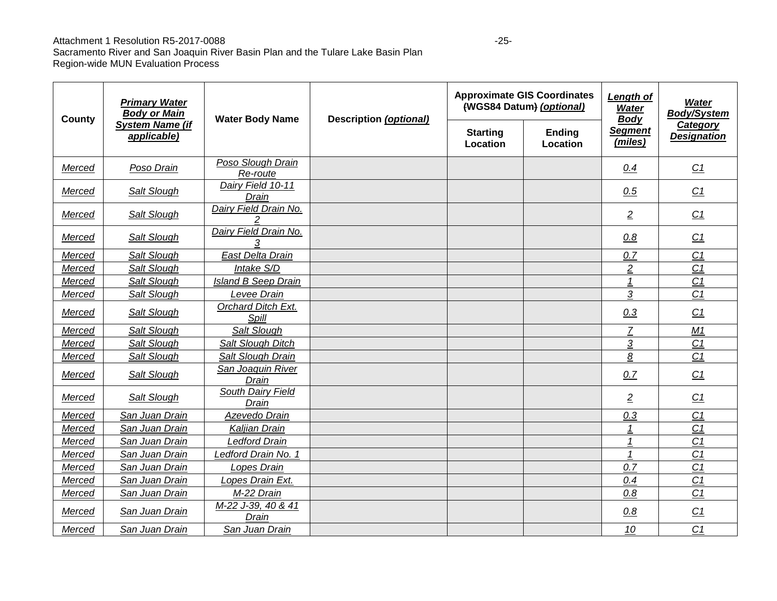#### Attachment 1 Resolution R5-2017-0088 -25-

| County | <b>Primary Water</b><br><b>Body or Main</b> | <b>Water Body Name</b>                  | <b>Description (optional)</b> | <b>Approximate GIS Coordinates</b><br>(WGS84 Datum) (optional) |                           | <b>Length of</b><br><b>Water</b><br><b>Body</b> | <b>Water</b><br><b>Body/System</b> |
|--------|---------------------------------------------|-----------------------------------------|-------------------------------|----------------------------------------------------------------|---------------------------|-------------------------------------------------|------------------------------------|
|        | <b>System Name (if</b><br>applicable)       |                                         |                               | <b>Starting</b><br>Location                                    | Ending<br><b>Location</b> | <b>Segment</b><br>(miles)                       | Category<br><b>Designation</b>     |
| Merced | Poso Drain                                  | Poso Slough Drain<br>Re-route           |                               |                                                                |                           | 0.4                                             | C1                                 |
| Merced | Salt Slough                                 | Dairy Field 10-11<br>Drain              |                               |                                                                |                           | 0.5                                             | C <sub>1</sub>                     |
| Merced | Salt Slough                                 | Dairy Field Drain No.<br>$\mathfrak{p}$ |                               |                                                                |                           | $\overline{2}$                                  | C1                                 |
| Merced | Salt Slough                                 | Dairy Field Drain No.<br>3              |                               |                                                                |                           | 0.8                                             | C <sub>1</sub>                     |
| Merced | Salt Slough                                 | East Delta Drain                        |                               |                                                                |                           | 0.7                                             | C <sub>1</sub>                     |
| Merced | Salt Slough                                 | Intake S/D                              |                               |                                                                |                           | $\overline{2}$                                  | C <sub>1</sub>                     |
| Merced | Salt Slough                                 | <b>Island B Seep Drain</b>              |                               |                                                                |                           | $\mathbf{1}$                                    | C <sub>1</sub>                     |
| Merced | Salt Slough                                 | Levee Drain                             |                               |                                                                |                           | $\overline{3}$                                  | C <sub>1</sub>                     |
| Merced | Salt Slough                                 | Orchard Ditch Ext.<br>Spill             |                               |                                                                |                           | 0.3                                             | C1                                 |
| Merced | Salt Slough                                 | Salt Slough                             |                               |                                                                |                           | $\overline{7}$                                  | M1                                 |
| Merced | Salt Slough                                 | Salt Slough Ditch                       |                               |                                                                |                           | $\overline{3}$                                  | C1                                 |
| Merced | <b>Salt Slough</b>                          | Salt Slough Drain                       |                               |                                                                |                           | $\underline{8}$                                 | C1                                 |
| Merced | Salt Slough                                 | San Joaquin River<br>Drain              |                               |                                                                |                           | 0.7                                             | C1                                 |
| Merced | Salt Slough                                 | South Dairy Field<br>Drain              |                               |                                                                |                           | $\overline{2}$                                  | C1                                 |
| Merced | San Juan Drain                              | Azevedo Drain                           |                               |                                                                |                           | 0.3                                             | C <sub>1</sub>                     |
| Merced | San Juan Drain                              | Kaljian Drain                           |                               |                                                                |                           |                                                 | C <sub>1</sub>                     |
| Merced | San Juan Drain                              | Ledford Drain                           |                               |                                                                |                           |                                                 | C <sub>1</sub>                     |
| Merced | San Juan Drain                              | Ledford Drain No. 1                     |                               |                                                                |                           | 1                                               | C <sub>1</sub>                     |
| Merced | San Juan Drain                              | Lopes Drain                             |                               |                                                                |                           | 0.7                                             | C <sub>1</sub>                     |
| Merced | San Juan Drain                              | Lopes Drain Ext.                        |                               |                                                                |                           | 0.4                                             | C <sub>1</sub>                     |
| Merced | San Juan Drain                              | M-22 Drain                              |                               |                                                                |                           | 0.8                                             | C <sub>1</sub>                     |
| Merced | San Juan Drain                              | M-22 J-39, 40 & 41<br>Drain             |                               |                                                                |                           | 0.8                                             | C1                                 |
| Merced | San Juan Drain                              | San Juan Drain                          |                               |                                                                |                           | 10                                              | C <sub>1</sub>                     |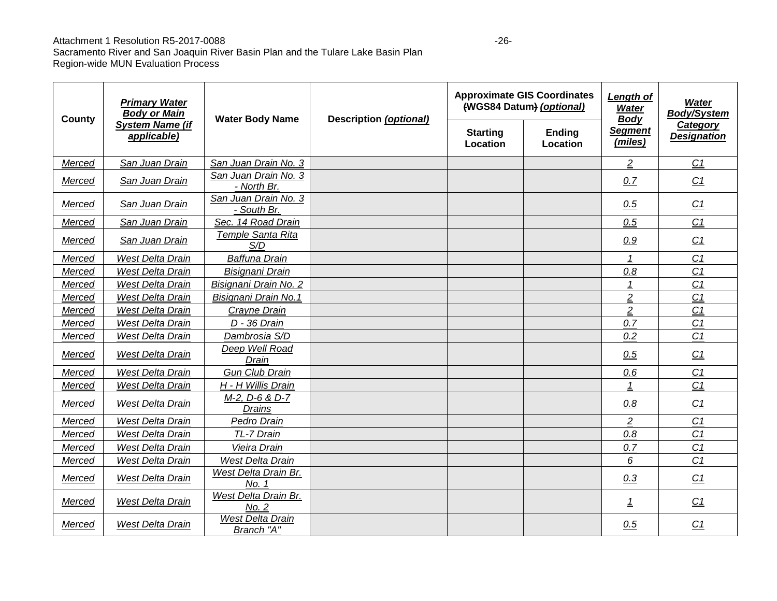#### Attachment 1 Resolution R5-2017-0088

| County | <b>Primary Water</b><br><b>Body or Main</b><br><b>System Name (if</b><br>applicable) | <b>Water Body Name</b>              | <b>Description (optional)</b> | <b>Approximate GIS Coordinates</b><br>(WGS84 Datum) (optional)<br><b>Starting</b><br>Ending<br>Location<br>Location |  | <b>Length of</b><br>Water<br><b>Body</b><br><b>Segment</b><br>(miles) | <b>Water</b><br>Body/System<br>Category<br><b>Designation</b> |
|--------|--------------------------------------------------------------------------------------|-------------------------------------|-------------------------------|---------------------------------------------------------------------------------------------------------------------|--|-----------------------------------------------------------------------|---------------------------------------------------------------|
|        |                                                                                      |                                     |                               |                                                                                                                     |  |                                                                       |                                                               |
| Merced | San Juan Drain                                                                       | San Juan Drain No. 3                |                               |                                                                                                                     |  | $\overline{2}$                                                        | C <sub>1</sub>                                                |
| Merced | San Juan Drain                                                                       | San Juan Drain No. 3<br>- North Br. |                               |                                                                                                                     |  | 0.7                                                                   | C1                                                            |
| Merced | San Juan Drain                                                                       | San Juan Drain No. 3<br>- South Br. |                               |                                                                                                                     |  | 0.5                                                                   | C1                                                            |
| Merced | San Juan Drain                                                                       | Sec. 14 Road Drain                  |                               |                                                                                                                     |  | 0.5                                                                   | C <sub>1</sub>                                                |
| Merced | San Juan Drain                                                                       | Temple Santa Rita<br>S/D            |                               |                                                                                                                     |  | 0.9                                                                   | C <sub>1</sub>                                                |
| Merced | <b>West Delta Drain</b>                                                              | <b>Baffuna Drain</b>                |                               |                                                                                                                     |  | 1                                                                     | C <sub>1</sub>                                                |
| Merced | <b>West Delta Drain</b>                                                              | Bisignani Drain                     |                               |                                                                                                                     |  | 0.8                                                                   | C1                                                            |
| Merced | <b>West Delta Drain</b>                                                              | Bisignani Drain No. 2               |                               |                                                                                                                     |  |                                                                       | $\overline{C1}$                                               |
| Merced | <b>West Delta Drain</b>                                                              | Bisignani Drain No.1                |                               |                                                                                                                     |  | $\overline{2}$                                                        | C <sub>1</sub>                                                |
| Merced | <b>West Delta Drain</b>                                                              | Crayne Drain                        |                               |                                                                                                                     |  | $\overline{2}$                                                        | C <sub>1</sub>                                                |
| Merced | <b>West Delta Drain</b>                                                              | D - 36 Drain                        |                               |                                                                                                                     |  | 0.7                                                                   | C <sub>1</sub>                                                |
| Merced | <b>West Delta Drain</b>                                                              | Dambrosia S/D                       |                               |                                                                                                                     |  | 0.2                                                                   | C <sub>1</sub>                                                |
| Merced | West Delta Drain                                                                     | Deep Well Road<br>Drain             |                               |                                                                                                                     |  | 0.5                                                                   | C <sub>1</sub>                                                |
| Merced | <b>West Delta Drain</b>                                                              | <b>Gun Club Drain</b>               |                               |                                                                                                                     |  | 0.6                                                                   | C <sub>1</sub>                                                |
| Merced | West Delta Drain                                                                     | H - H Willis Drain                  |                               |                                                                                                                     |  | 1                                                                     | C <sub>1</sub>                                                |
| Merced | West Delta Drain                                                                     | M-2, D-6 & D-7<br><b>Drains</b>     |                               |                                                                                                                     |  | 0.8                                                                   | C <sub>1</sub>                                                |
| Merced | West Delta Drain                                                                     | Pedro Drain                         |                               |                                                                                                                     |  | $\overline{2}$                                                        | C <sub>1</sub>                                                |
| Merced | West Delta Drain                                                                     | TL-7 Drain                          |                               |                                                                                                                     |  | $0.8\,$                                                               | $\overline{C1}$                                               |
| Merced | <b>West Delta Drain</b>                                                              | Vieira Drain                        |                               |                                                                                                                     |  | 0.7                                                                   | C <sub>1</sub>                                                |
| Merced | <b>West Delta Drain</b>                                                              | West Delta Drain                    |                               |                                                                                                                     |  | 6                                                                     | C <sub>1</sub>                                                |
| Merced | West Delta Drain                                                                     | West Delta Drain Br.<br>No. 1       |                               |                                                                                                                     |  | 0.3                                                                   | C <sub>1</sub>                                                |
| Merced | West Delta Drain                                                                     | West Delta Drain Br.<br>No. 2       |                               |                                                                                                                     |  | <u>1</u>                                                              | C <sub>1</sub>                                                |
| Merced | West Delta Drain                                                                     | West Delta Drain<br>Branch "A"      |                               |                                                                                                                     |  | 0.5                                                                   | C <sub>1</sub>                                                |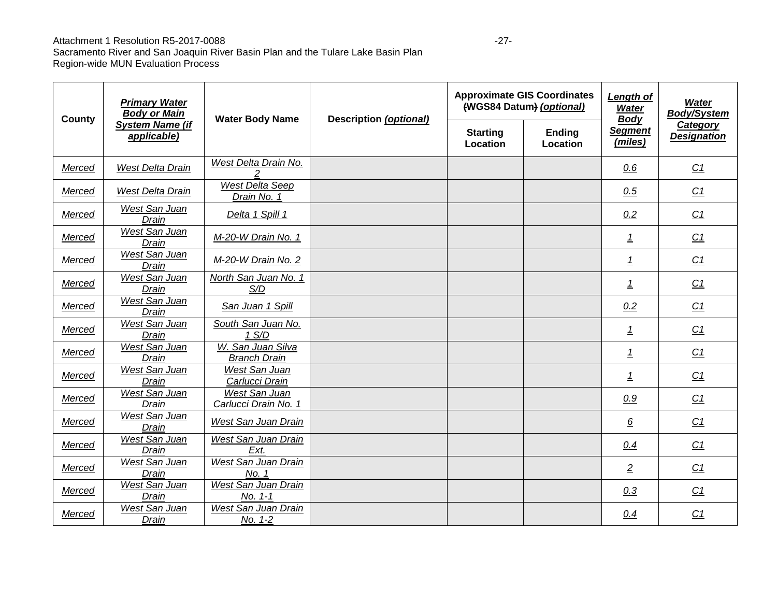#### Attachment 1 Resolution R5-2017-0088 -27-

| County | <b>Primary Water</b><br><b>Body or Main</b> | <b>Water Body Name</b>                   | Description (optional) |                             | <b>Approximate GIS Coordinates</b><br>(WGS84 Datum) (optional) | Length of<br><b>Water</b><br><b>Body</b> | <b>Water</b><br><b>Body/System</b> |
|--------|---------------------------------------------|------------------------------------------|------------------------|-----------------------------|----------------------------------------------------------------|------------------------------------------|------------------------------------|
|        | <b>System Name (if</b><br>applicable)       |                                          |                        | <b>Starting</b><br>Location | <b>Ending</b><br>Location                                      | <b>Segment</b><br>(miles)                | Category<br><b>Designation</b>     |
| Merced | <b>West Delta Drain</b>                     | West Delta Drain No.                     |                        |                             |                                                                | 0.6                                      | C <sub>1</sub>                     |
| Merced | West Delta Drain                            | West Delta Seep<br>Drain No. 1           |                        |                             |                                                                | 0.5                                      | C1                                 |
| Merced | West San Juan<br>Drain                      | Delta 1 Spill 1                          |                        |                             |                                                                | 0.2                                      | C1                                 |
| Merced | West San Juan<br>Drain                      | M-20-W Drain No. 1                       |                        |                             |                                                                | $\overline{1}$                           | C1                                 |
| Merced | West San Juan<br>Drain                      | M-20-W Drain No. 2                       |                        |                             |                                                                | $\overline{1}$                           | C1                                 |
| Merced | West San Juan<br>Drain                      | North San Juan No. 1<br>S/D              |                        |                             |                                                                | $\overline{1}$                           | C1                                 |
| Merced | <b>West San Juan</b><br>Drain               | San Juan 1 Spill                         |                        |                             |                                                                | 0.2                                      | C1                                 |
| Merced | West San Juan<br>Drain                      | South San Juan No.<br>1 S/D              |                        |                             |                                                                | $\mathbf{1}$                             | C <sub>1</sub>                     |
| Merced | West San Juan<br>Drain                      | W. San Juan Silva<br><b>Branch Drain</b> |                        |                             |                                                                | $\overline{1}$                           | C1                                 |
| Merced | West San Juan<br>Drain                      | West San Juan<br>Carlucci Drain          |                        |                             |                                                                | <u>1</u>                                 | C1                                 |
| Merced | West San Juan<br>Drain                      | West San Juan<br>Carlucci Drain No. 1    |                        |                             |                                                                | 0.9                                      | C1                                 |
| Merced | West San Juan<br>Drain                      | West San Juan Drain                      |                        |                             |                                                                | $6 \overline{6}$                         | C1                                 |
| Merced | West San Juan<br>Drain                      | West San Juan Drain<br>Ext.              |                        |                             |                                                                | 0.4                                      | C1                                 |
| Merced | West San Juan<br>Drain                      | West San Juan Drain<br>No. 1             |                        |                             |                                                                | $\overline{2}$                           | C1                                 |
| Merced | West San Juan<br>Drain                      | West San Juan Drain<br>No. 1-1           |                        |                             |                                                                | 0.3                                      | C1                                 |
| Merced | West San Juan<br>Drain                      | West San Juan Drain<br>No. 1-2           |                        |                             |                                                                | 0.4                                      | C <sub>1</sub>                     |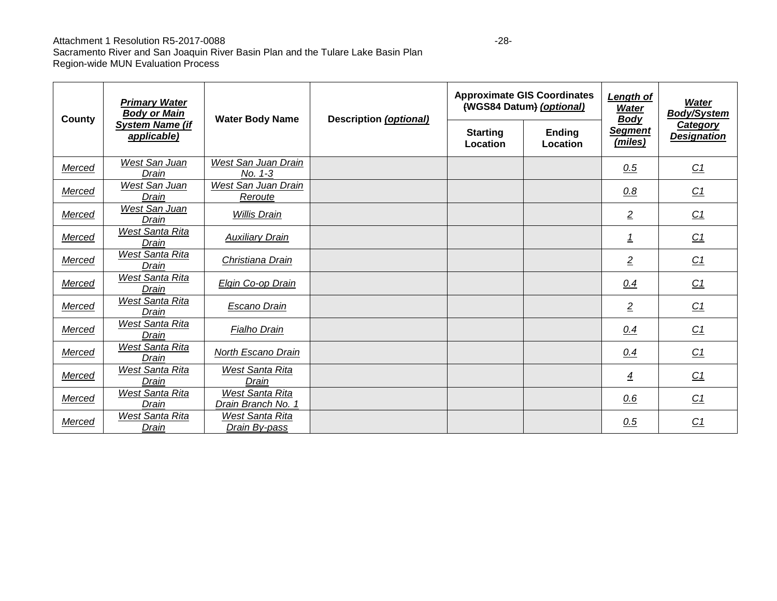### Attachment 1 Resolution R5-2017-0088 -28-

| County | <b>Primary Water</b><br><b>Body or Main</b> | <b>Water Body Name</b>                  | Description (optional) |                             | <b>Approximate GIS Coordinates</b><br>(WGS84 Datum) (optional) | Length of<br><b>Water</b><br><b>Body</b><br><b>Segment</b><br>(miles) | <b>Water</b><br><b>Body/System</b>    |
|--------|---------------------------------------------|-----------------------------------------|------------------------|-----------------------------|----------------------------------------------------------------|-----------------------------------------------------------------------|---------------------------------------|
|        | <b>System Name (if</b><br>applicable)       |                                         |                        | <b>Starting</b><br>Location | <b>Ending</b><br>Location                                      |                                                                       | <b>Category</b><br><b>Designation</b> |
| Merced | West San Juan<br>Drain                      | West San Juan Drain<br>No. 1-3          |                        |                             |                                                                | 0.5                                                                   | C1                                    |
| Merced | West San Juan<br>Drain                      | West San Juan Drain<br>Reroute          |                        |                             |                                                                | 0.8                                                                   | C1                                    |
| Merced | West San Juan<br>Drain                      | <b>Willis Drain</b>                     |                        |                             |                                                                | $\overline{2}$                                                        | C1                                    |
| Merced | West Santa Rita<br>Drain                    | <b>Auxiliary Drain</b>                  |                        |                             |                                                                | <u>1</u>                                                              | C1                                    |
| Merced | West Santa Rita<br>Drain                    | Christiana Drain                        |                        |                             |                                                                | $\overline{2}$                                                        | C1                                    |
| Merced | West Santa Rita<br>Drain                    | Elgin Co-op Drain                       |                        |                             |                                                                | 0.4                                                                   | C1                                    |
| Merced | <b>West Santa Rita</b><br>Drain             | Escano Drain                            |                        |                             |                                                                | $\overline{2}$                                                        | C1                                    |
| Merced | <b>West Santa Rita</b><br>Drain             | Fialho Drain                            |                        |                             |                                                                | 0.4                                                                   | C1                                    |
| Merced | <b>West Santa Rita</b><br>Drain             | North Escano Drain                      |                        |                             |                                                                | 0.4                                                                   | C <sub>1</sub>                        |
| Merced | <b>West Santa Rita</b><br>Drain             | West Santa Rita<br>Drain                |                        |                             |                                                                | $\overline{4}$                                                        | C <sub>1</sub>                        |
| Merced | West Santa Rita<br>Drain                    | West Santa Rita<br>Drain Branch No. 1   |                        |                             |                                                                | 0.6                                                                   | C <sub>1</sub>                        |
| Merced | West Santa Rita<br>Drain                    | <b>West Santa Rita</b><br>Drain By-pass |                        |                             |                                                                | 0.5                                                                   | C <sub>1</sub>                        |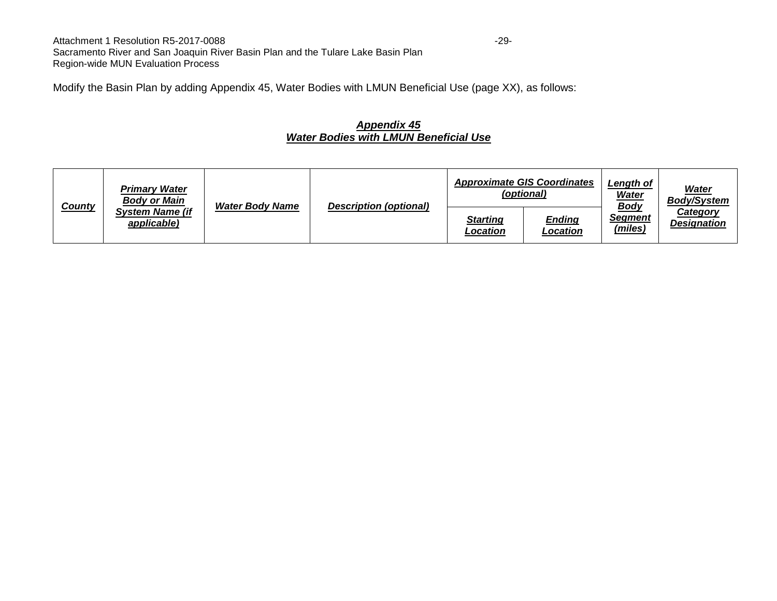Attachment 1 Resolution R5-2017-0088 -29-Sacramento River and San Joaquin River Basin Plan and the Tulare Lake Basin Plan Region-wide MUN Evaluation Process

Modify the Basin Plan by adding Appendix 45, Water Bodies with LMUN Beneficial Use (page XX), as follows:

#### *Appendix 45 Water Bodies with LMUN Beneficial Use*

| <u>County</u> | <b>Primary Water</b><br><b>Body or Main</b><br><b>System Name (if</b><br>applicable) | <b>Water Body Name</b> | <b>Description (optional)</b> | <b>Approximate GIS Coordinates</b><br>(optional) |                           | <b>Length of</b><br><u>Water</u>         | Water<br><b>Body/System</b>    |
|---------------|--------------------------------------------------------------------------------------|------------------------|-------------------------------|--------------------------------------------------|---------------------------|------------------------------------------|--------------------------------|
|               |                                                                                      |                        |                               | Starting<br>Location                             | <b>Ending</b><br>Location | <u>Body</u><br><b>Segment</b><br>(miles) | Category<br><b>Designation</b> |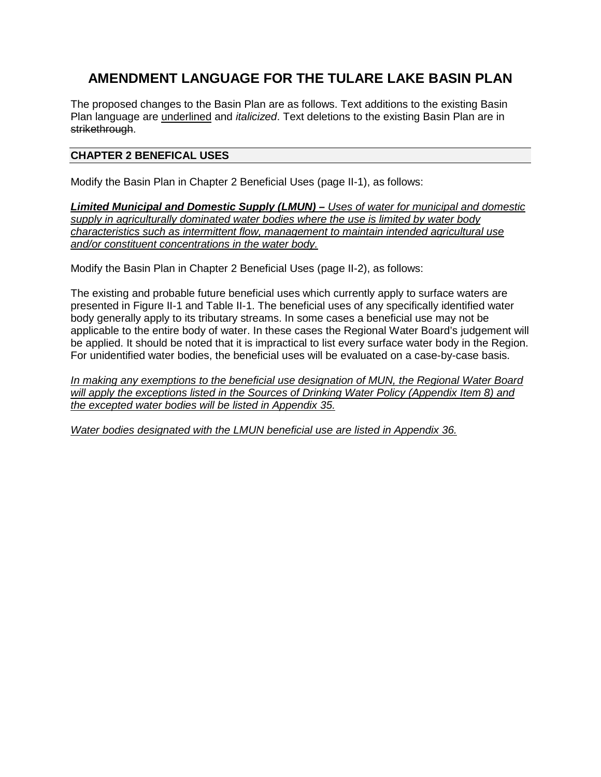# **AMENDMENT LANGUAGE FOR THE TULARE LAKE BASIN PLAN**

The proposed changes to the Basin Plan are as follows. Text additions to the existing Basin Plan language are underlined and *italicized*. Text deletions to the existing Basin Plan are in strikethrough.

#### **CHAPTER 2 BENEFICAL USES**

Modify the Basin Plan in Chapter 2 Beneficial Uses (page II-1), as follows:

*Limited Municipal and Domestic Supply (LMUN) – Uses of water for municipal and domestic supply in agriculturally dominated water bodies where the use is limited by water body characteristics such as intermittent flow, management to maintain intended agricultural use and/or constituent concentrations in the water body.* 

Modify the Basin Plan in Chapter 2 Beneficial Uses (page II-2), as follows:

The existing and probable future beneficial uses which currently apply to surface waters are presented in Figure II-1 and Table II-1. The beneficial uses of any specifically identified water body generally apply to its tributary streams. In some cases a beneficial use may not be applicable to the entire body of water. In these cases the Regional Water Board's judgement will be applied. It should be noted that it is impractical to list every surface water body in the Region. For unidentified water bodies, the beneficial uses will be evaluated on a case-by-case basis.

*In making any exemptions to the beneficial use designation of MUN, the Regional Water Board will apply the exceptions listed in the Sources of Drinking Water Policy (Appendix Item 8) and the excepted water bodies will be listed in Appendix 35.*

*Water bodies designated with the LMUN beneficial use are listed in Appendix 36.*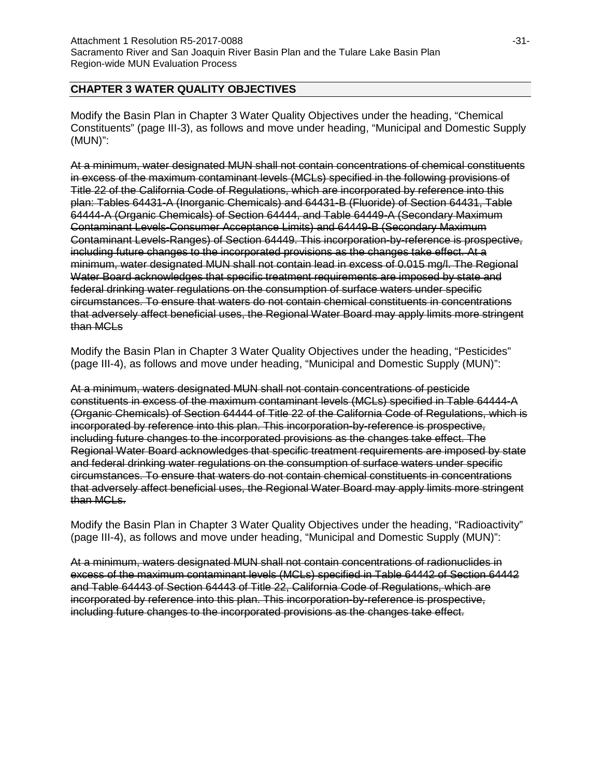### **CHAPTER 3 WATER QUALITY OBJECTIVES**

Modify the Basin Plan in Chapter 3 Water Quality Objectives under the heading, "Chemical Constituents" (page III-3), as follows and move under heading, "Municipal and Domestic Supply (MUN)":

At a minimum, water designated MUN shall not contain concentrations of chemical constituents in excess of the maximum contaminant levels (MCLs) specified in the following provisions of Title 22 of the California Code of Regulations, which are incorporated by reference into this plan: Tables 64431-A (Inorganic Chemicals) and 64431-B (Fluoride) of Section 64431, Table 64444-A (Organic Chemicals) of Section 64444, and Table 64449-A (Secondary Maximum Contaminant Levels-Consumer Acceptance Limits) and 64449-B (Secondary Maximum Contaminant Levels-Ranges) of Section 64449. This incorporation-by-reference is prospective, including future changes to the incorporated provisions as the changes take effect. At a minimum, water designated MUN shall not contain lead in excess of 0.015 mg/l. The Regional Water Board acknowledges that specific treatment requirements are imposed by state and federal drinking water regulations on the consumption of surface waters under specific circumstances. To ensure that waters do not contain chemical constituents in concentrations that adversely affect beneficial uses, the Regional Water Board may apply limits more stringent than MCLs

Modify the Basin Plan in Chapter 3 Water Quality Objectives under the heading, "Pesticides" (page III-4), as follows and move under heading, "Municipal and Domestic Supply (MUN)":

At a minimum, waters designated MUN shall not contain concentrations of pesticide constituents in excess of the maximum contaminant levels (MCLs) specified in Table 64444-A (Organic Chemicals) of Section 64444 of Title 22 of the California Code of Regulations, which is incorporated by reference into this plan. This incorporation-by-reference is prospective, including future changes to the incorporated provisions as the changes take effect. The Regional Water Board acknowledges that specific treatment requirements are imposed by state and federal drinking water regulations on the consumption of surface waters under specific circumstances. To ensure that waters do not contain chemical constituents in concentrations that adversely affect beneficial uses, the Regional Water Board may apply limits more stringent than MCLs.

Modify the Basin Plan in Chapter 3 Water Quality Objectives under the heading, "Radioactivity" (page III-4), as follows and move under heading, "Municipal and Domestic Supply (MUN)":

At a minimum, waters designated MUN shall not contain concentrations of radionuclides in excess of the maximum contaminant levels (MCLs) specified in Table 64442 of Section 64442 and Table 64443 of Section 64443 of Title 22, California Code of Regulations, which are incorporated by reference into this plan. This incorporation-by-reference is prospective, including future changes to the incorporated provisions as the changes take effect.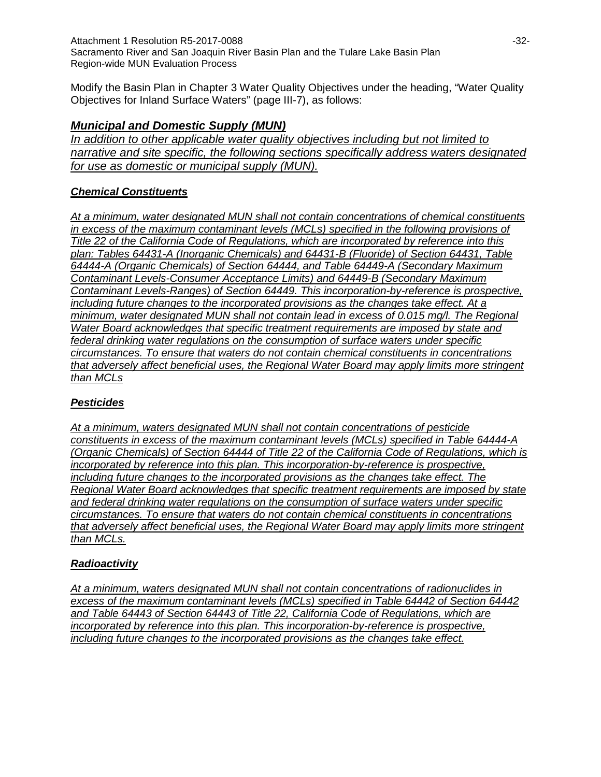Attachment 1 Resolution R5-2017-0088 **and Contact 2018** -32-Sacramento River and San Joaquin River Basin Plan and the Tulare Lake Basin Plan Region-wide MUN Evaluation Process

Modify the Basin Plan in Chapter 3 Water Quality Objectives under the heading, "Water Quality Objectives for Inland Surface Waters" (page III-7), as follows:

## *Municipal and Domestic Supply (MUN)*

*In addition to other applicable water quality objectives including but not limited to narrative and site specific, the following sections specifically address waters designated for use as domestic or municipal supply (MUN).*

### *Chemical Constituents*

*At a minimum, water designated MUN shall not contain concentrations of chemical constituents in excess of the maximum contaminant levels (MCLs) specified in the following provisions of Title 22 of the California Code of Regulations, which are incorporated by reference into this plan: Tables 64431-A (Inorganic Chemicals) and 64431-B (Fluoride) of Section 64431, Table 64444-A (Organic Chemicals) of Section 64444, and Table 64449-A (Secondary Maximum Contaminant Levels-Consumer Acceptance Limits) and 64449-B (Secondary Maximum Contaminant Levels-Ranges) of Section 64449. This incorporation-by-reference is prospective, including future changes to the incorporated provisions as the changes take effect. At a minimum, water designated MUN shall not contain lead in excess of 0.015 mg/l. The Regional Water Board acknowledges that specific treatment requirements are imposed by state and federal drinking water regulations on the consumption of surface waters under specific circumstances. To ensure that waters do not contain chemical constituents in concentrations that adversely affect beneficial uses, the Regional Water Board may apply limits more stringent than MCLs*

#### *Pesticides*

*At a minimum, waters designated MUN shall not contain concentrations of pesticide constituents in excess of the maximum contaminant levels (MCLs) specified in Table 64444-A (Organic Chemicals) of Section 64444 of Title 22 of the California Code of Regulations, which is incorporated by reference into this plan. This incorporation-by-reference is prospective, including future changes to the incorporated provisions as the changes take effect. The Regional Water Board acknowledges that specific treatment requirements are imposed by state and federal drinking water regulations on the consumption of surface waters under specific circumstances. To ensure that waters do not contain chemical constituents in concentrations that adversely affect beneficial uses, the Regional Water Board may apply limits more stringent than MCLs.*

## *Radioactivity*

*At a minimum, waters designated MUN shall not contain concentrations of radionuclides in excess of the maximum contaminant levels (MCLs) specified in Table 64442 of Section 64442 and Table 64443 of Section 64443 of Title 22, California Code of Regulations, which are incorporated by reference into this plan. This incorporation-by-reference is prospective, including future changes to the incorporated provisions as the changes take effect.*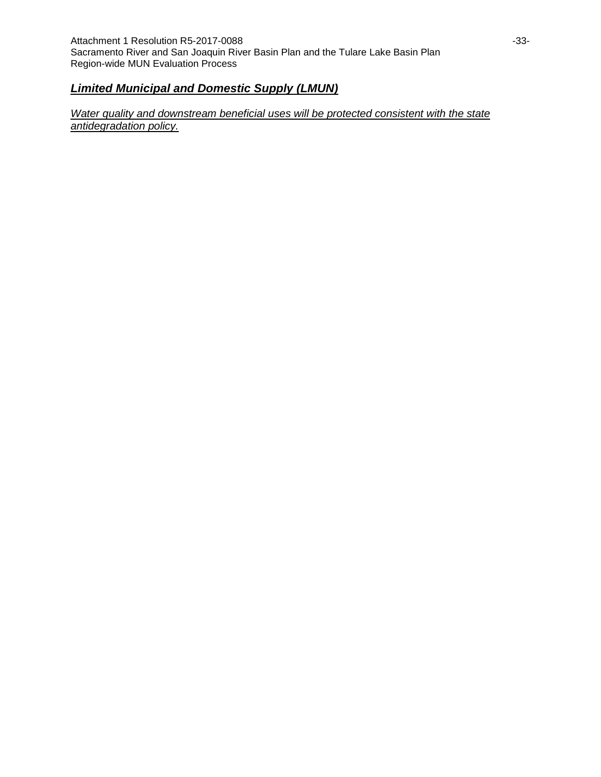### *Limited Municipal and Domestic Supply (LMUN)*

*Water quality and downstream beneficial uses will be protected consistent with the state antidegradation policy.*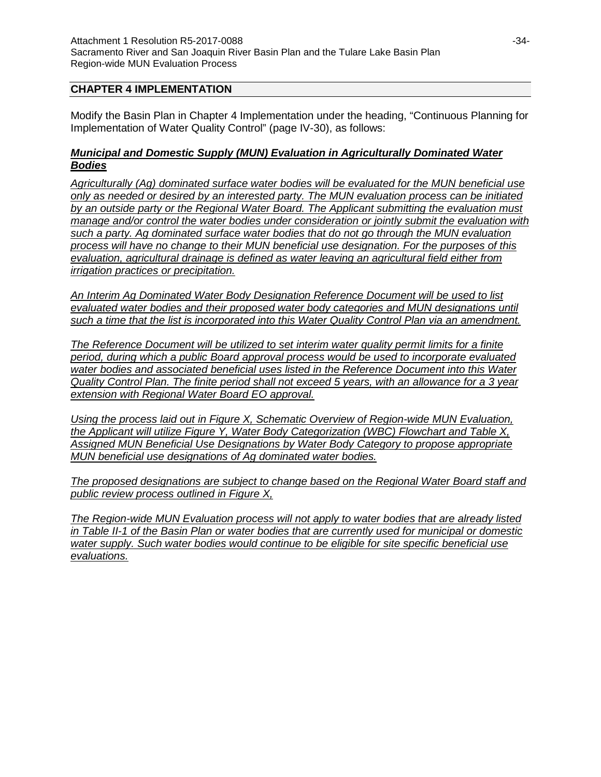#### **CHAPTER 4 IMPLEMENTATION**

Modify the Basin Plan in Chapter 4 Implementation under the heading, "Continuous Planning for Implementation of Water Quality Control" (page IV-30), as follows:

#### *Municipal and Domestic Supply (MUN) Evaluation in Agriculturally Dominated Water Bodies*

*Agriculturally (Ag) dominated surface water bodies will be evaluated for the MUN beneficial use only as needed or desired by an interested party. The MUN evaluation process can be initiated by an outside party or the Regional Water Board. The Applicant submitting the evaluation must manage and/or control the water bodies under consideration or jointly submit the evaluation with such a party. Ag dominated surface water bodies that do not go through the MUN evaluation process will have no change to their MUN beneficial use designation. For the purposes of this evaluation, agricultural drainage is defined as water leaving an agricultural field either from irrigation practices or precipitation.*

*An Interim Ag Dominated Water Body Designation Reference Document will be used to list evaluated water bodies and their proposed water body categories and MUN designations until such a time that the list is incorporated into this Water Quality Control Plan via an amendment.* 

*The Reference Document will be utilized to set interim water quality permit limits for a finite period, during which a public Board approval process would be used to incorporate evaluated water bodies and associated beneficial uses listed in the Reference Document into this Water Quality Control Plan. The finite period shall not exceed 5 years, with an allowance for a 3 year extension with Regional Water Board EO approval.* 

*Using the process laid out in Figure X, Schematic Overview of Region-wide MUN Evaluation, the Applicant will utilize Figure Y, Water Body Categorization (WBC) Flowchart and Table X, Assigned MUN Beneficial Use Designations by Water Body Category to propose appropriate MUN beneficial use designations of Ag dominated water bodies.* 

*The proposed designations are subject to change based on the Regional Water Board staff and public review process outlined in Figure X,*

*The Region-wide MUN Evaluation process will not apply to water bodies that are already listed in Table II-1 of the Basin Plan or water bodies that are currently used for municipal or domestic water supply. Such water bodies would continue to be eligible for site specific beneficial use evaluations.*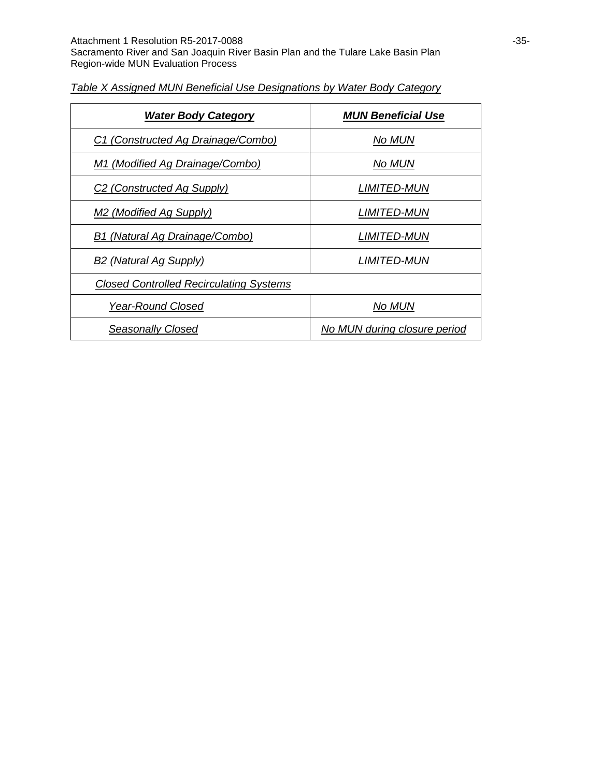| <b>Water Body Category</b>                     | <b>MUN Beneficial Use</b>    |
|------------------------------------------------|------------------------------|
| C1 (Constructed Ag Drainage/Combo)             | No MUN                       |
| M1 (Modified Ag Drainage/Combo)                | No MUN                       |
| C <sub>2</sub> (Constructed Ag Supply)         | <i>LIMITED-MUN</i>           |
| M <sub>2</sub> (Modified Ag Supply)            | <i>LIMITED-MUN</i>           |
| B1 (Natural Ag Drainage/Combo)                 | <b>LIMITED-MUN</b>           |
| B <sub>2</sub> (Natural Ag Supply)             | <i>LIMITED-MUN</i>           |
| <b>Closed Controlled Recirculating Systems</b> |                              |
| <b>Year-Round Closed</b>                       | No MUN                       |
| Seasonally Closed                              | No MUN during closure period |

### *Table X Assigned MUN Beneficial Use Designations by Water Body Category*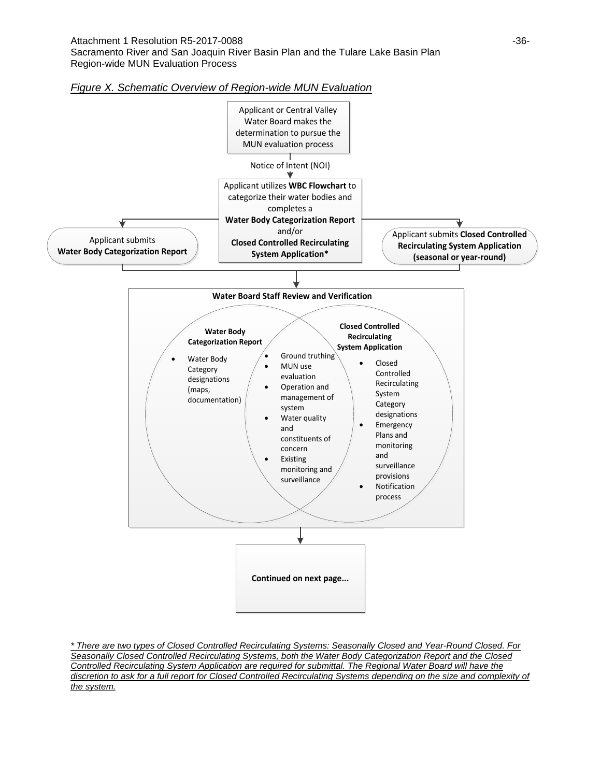



*\* There are two types of Closed Controlled Recirculating Systems: Seasonally Closed and Year-Round Closed. For Seasonally Closed Controlled Recirculating Systems, both the Water Body Categorization Report and the Closed Controlled Recirculating System Application are required for submittal. The Regional Water Board will have the discretion to ask for a full report for Closed Controlled Recirculating Systems depending on the size and complexity of the system.*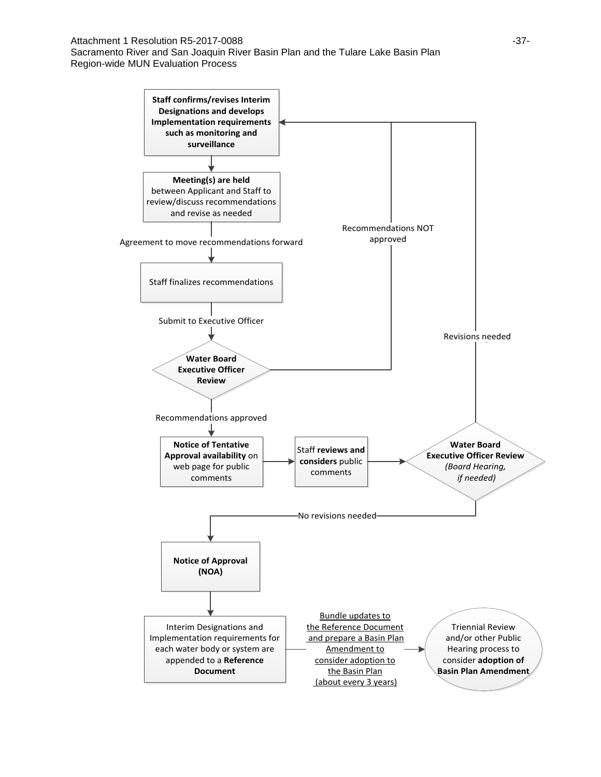Attachment 1 Resolution R5-2017-0088 **and Contact 2018** -37-Sacramento River and San Joaquin River Basin Plan and the Tulare Lake Basin Plan Region-wide MUN Evaluation Process

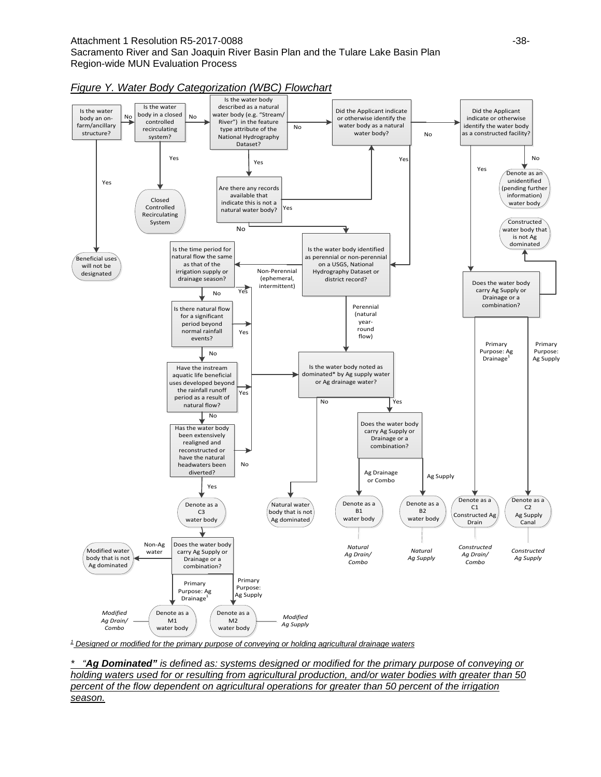#### Attachment 1 Resolution R5-2017-0088 **and Contact Contact Contact Contact Contact Contact Contact Contact Contact Contact Contact Contact Contact Contact Contact Contact Contact Contact Contact Contact Contact Contact Cont** Sacramento River and San Joaquin River Basin Plan and the Tulare Lake Basin Plan Region-wide MUN Evaluation Process





*<sup>1</sup> Designed or modified for the primary purpose of conveying or holding agricultural drainage waters*

*\* "Ag Dominated" is defined as: systems designed or modified for the primary purpose of conveying or holding waters used for or resulting from agricultural production, and/or water bodies with greater than 50 percent of the flow dependent on agricultural operations for greater than 50 percent of the irrigation season.*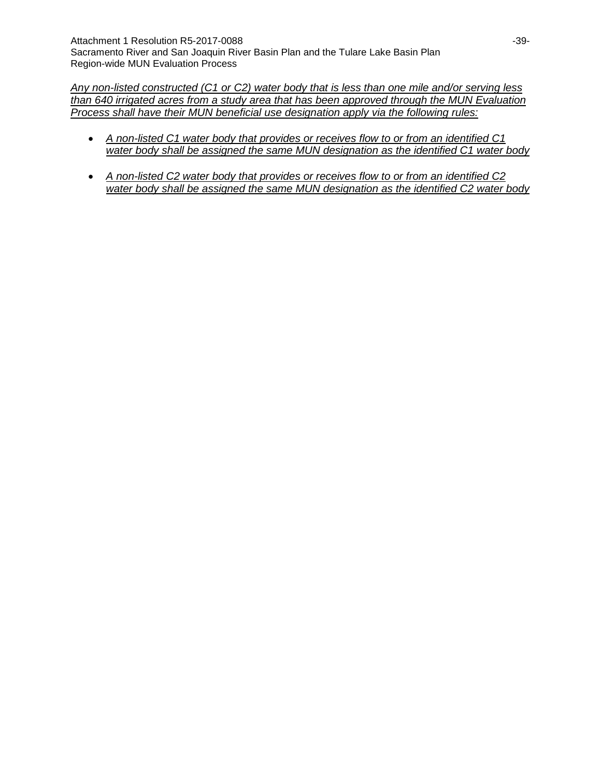*Any non-listed constructed (C1 or C2) water body that is less than one mile and/or serving less than 640 irrigated acres from a study area that has been approved through the MUN Evaluation Process shall have their MUN beneficial use designation apply via the following rules:* 

- *A non-listed C1 water body that provides or receives flow to or from an identified C1 water body shall be assigned the same MUN designation as the identified C1 water body*
- *A non-listed C2 water body that provides or receives flow to or from an identified C2 water body shall be assigned the same MUN designation as the identified C2 water body*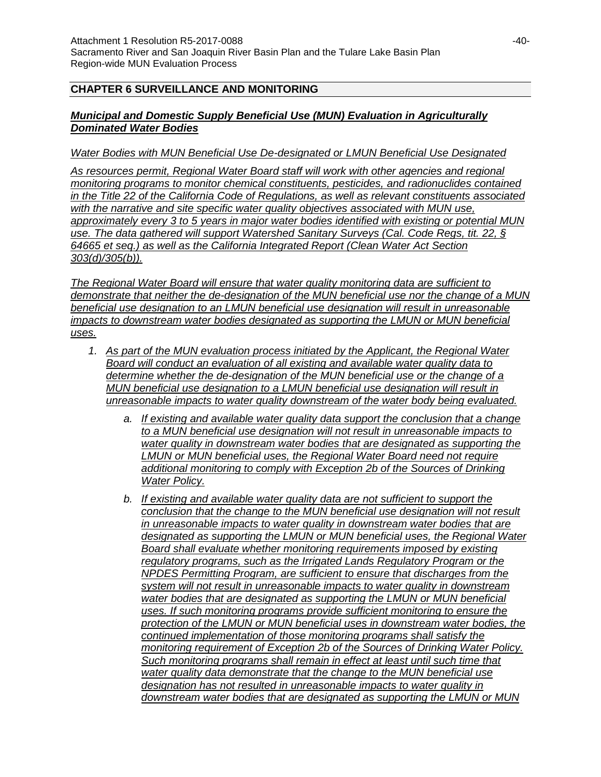#### **CHAPTER 6 SURVEILLANCE AND MONITORING**

#### *Municipal and Domestic Supply Beneficial Use (MUN) Evaluation in Agriculturally Dominated Water Bodies*

#### *Water Bodies with MUN Beneficial Use De-designated or LMUN Beneficial Use Designated*

*As resources permit, Regional Water Board staff will work with other agencies and regional monitoring programs to monitor chemical constituents, pesticides, and radionuclides contained in the Title 22 of the California Code of Regulations, as well as relevant constituents associated with the narrative and site specific water quality objectives associated with MUN use, approximately every 3 to 5 years in major water bodies identified with existing or potential MUN use. The data gathered will support Watershed Sanitary Surveys (Cal. Code Regs, tit. 22, § 64665 et seq.) as well as the California Integrated Report (Clean Water Act Section 303(d)/305(b)).* 

*The Regional Water Board will ensure that water quality monitoring data are sufficient to demonstrate that neither the de-designation of the MUN beneficial use nor the change of a MUN beneficial use designation to an LMUN beneficial use designation will result in unreasonable impacts to downstream water bodies designated as supporting the LMUN or MUN beneficial uses.*

- *1. As part of the MUN evaluation process initiated by the Applicant, the Regional Water Board will conduct an evaluation of all existing and available water quality data to determine whether the de-designation of the MUN beneficial use or the change of a MUN beneficial use designation to a LMUN beneficial use designation will result in unreasonable impacts to water quality downstream of the water body being evaluated.*
	- *a. If existing and available water quality data support the conclusion that a change to a MUN beneficial use designation will not result in unreasonable impacts to water quality in downstream water bodies that are designated as supporting the LMUN or MUN beneficial uses, the Regional Water Board need not require additional monitoring to comply with Exception 2b of the Sources of Drinking Water Policy.*
	- *b. If existing and available water quality data are not sufficient to support the conclusion that the change to the MUN beneficial use designation will not result in unreasonable impacts to water quality in downstream water bodies that are designated as supporting the LMUN or MUN beneficial uses, the Regional Water Board shall evaluate whether monitoring requirements imposed by existing regulatory programs, such as the Irrigated Lands Regulatory Program or the NPDES Permitting Program, are sufficient to ensure that discharges from the system will not result in unreasonable impacts to water quality in downstream water bodies that are designated as supporting the LMUN or MUN beneficial uses. If such monitoring programs provide sufficient monitoring to ensure the protection of the LMUN or MUN beneficial uses in downstream water bodies, the continued implementation of those monitoring programs shall satisfy the monitoring requirement of Exception 2b of the Sources of Drinking Water Policy. Such monitoring programs shall remain in effect at least until such time that water quality data demonstrate that the change to the MUN beneficial use designation has not resulted in unreasonable impacts to water quality in downstream water bodies that are designated as supporting the LMUN or MUN*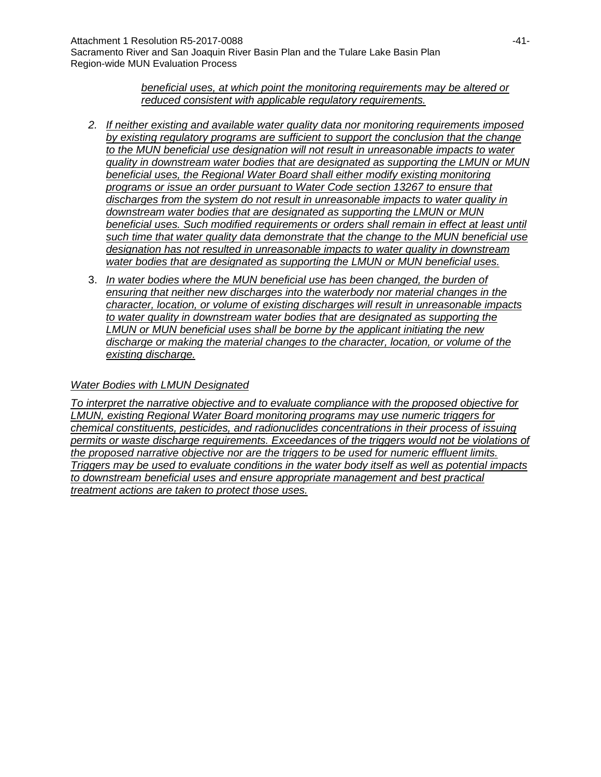*beneficial uses, at which point the monitoring requirements may be altered or reduced consistent with applicable regulatory requirements.*

- *2. If neither existing and available water quality data nor monitoring requirements imposed by existing regulatory programs are sufficient to support the conclusion that the change to the MUN beneficial use designation will not result in unreasonable impacts to water quality in downstream water bodies that are designated as supporting the LMUN or MUN beneficial uses, the Regional Water Board shall either modify existing monitoring programs or issue an order pursuant to Water Code section 13267 to ensure that discharges from the system do not result in unreasonable impacts to water quality in downstream water bodies that are designated as supporting the LMUN or MUN*  beneficial uses. Such modified requirements or orders shall remain in effect at least until *such time that water quality data demonstrate that the change to the MUN beneficial use designation has not resulted in unreasonable impacts to water quality in downstream water bodies that are designated as supporting the LMUN or MUN beneficial uses.*
- 3. *In water bodies where the MUN beneficial use has been changed, the burden of ensuring that neither new discharges into the waterbody nor material changes in the character, location, or volume of existing discharges will result in unreasonable impacts to water quality in downstream water bodies that are designated as supporting the LMUN or MUN beneficial uses shall be borne by the applicant initiating the new discharge or making the material changes to the character, location, or volume of the existing discharge.*

### *Water Bodies with LMUN Designated*

*To interpret the narrative objective and to evaluate compliance with the proposed objective for LMUN, existing Regional Water Board monitoring programs may use numeric triggers for chemical constituents, pesticides, and radionuclides concentrations in their process of issuing permits or waste discharge requirements. Exceedances of the triggers would not be violations of the proposed narrative objective nor are the triggers to be used for numeric effluent limits. Triggers may be used to evaluate conditions in the water body itself as well as potential impacts to downstream beneficial uses and ensure appropriate management and best practical treatment actions are taken to protect those uses.*